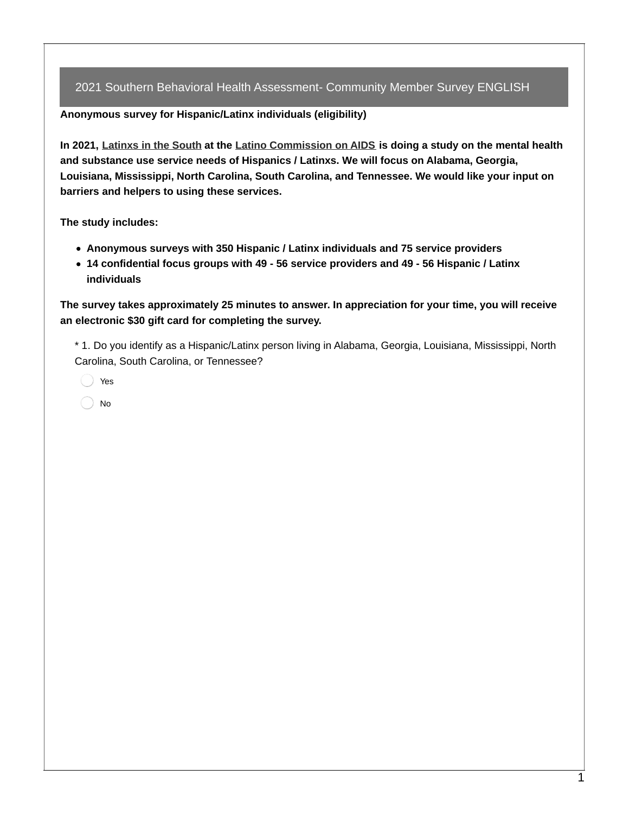**Anonymous survey for Hispanic/Latinx individuals (eligibility)**

In 2021, [Latinxs](https://www.latinodeepsouth.org/) in the South at the Latino [Commission](https://www.latinoaids.org/) on AIDS is doing a study on the mental health **and substance use service needs of Hispanics / Latinxs. We will focus on Alabama, Georgia, Louisiana, Mississippi, North Carolina, South Carolina, and Tennessee. We would like your input on barriers and helpers to using these services.**

**The study includes:**

- **Anonymous surveys with 350 Hispanic / Latinx individuals and 75 service providers**
- **14 confidential focus groups with 49 - 56 service providers and 49 - 56 Hispanic / Latinx individuals**

**The survey takes approximately 25 minutes to answer. In appreciation for your time, you will receive an electronic \$30 gift card for completing the survey.**

\* 1. Do you identify as a Hispanic/Latinx person living in Alabama, Georgia, Louisiana, Mississippi, North Carolina, South Carolina, or Tennessee?

- Yes
- No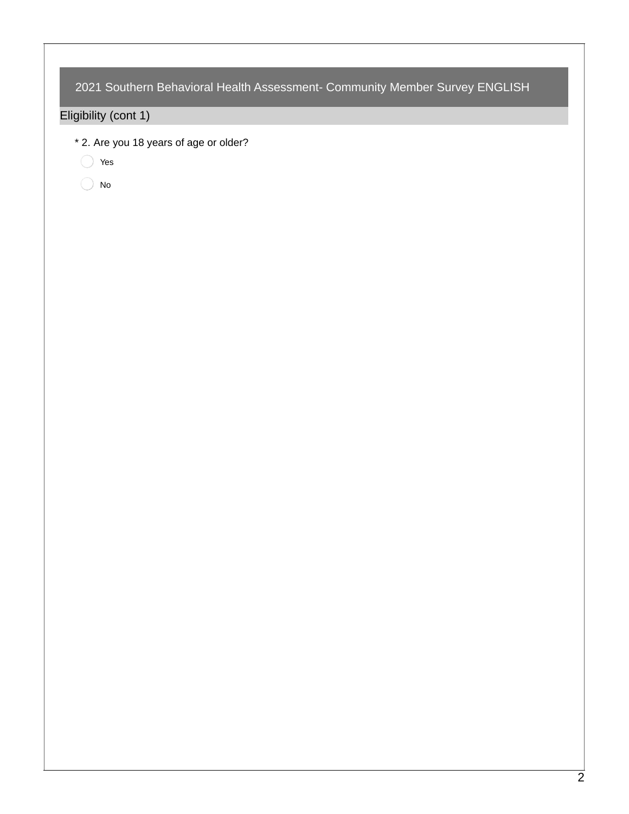Eligibility (cont 1)

\* 2. Are you 18 years of age or older?

Yes

 $\bigcirc$  No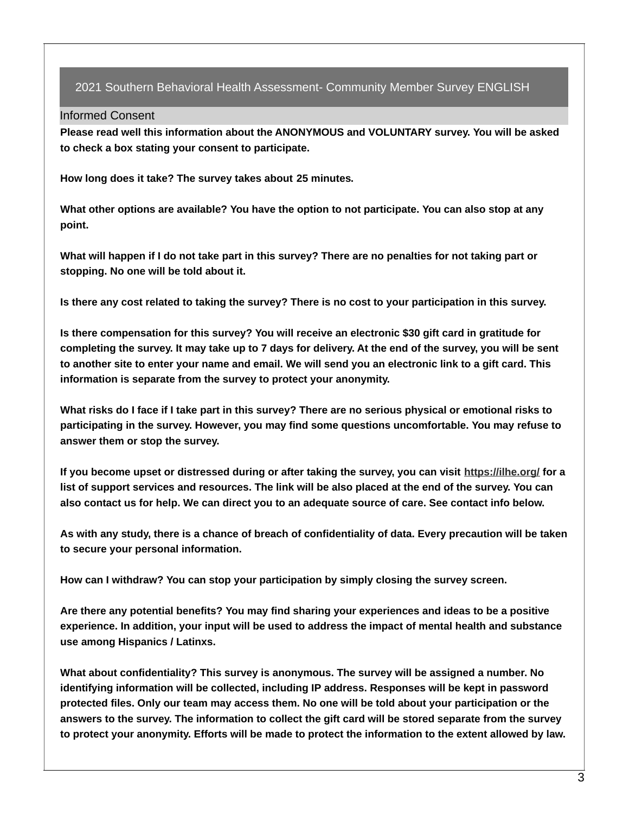### Informed Consent

**Please read well this information about the ANONYMOUS and VOLUNTARY survey. You will be asked to check a box stating your consent to participate.**

**How long does it take? The survey takes about 25 minutes.**

**What other options are available? You have the option to not participate. You can also stop at any point.**

What will happen if I do not take part in this survey? There are no penalties for not taking part or **stopping. No one will be told about it.**

Is there any cost related to taking the survey? There is no cost to your participation in this survey.

**Is there compensation for this survey? You will receive an electronic \$30 gift card in gratitude for** completing the survey. It may take up to 7 days for delivery. At the end of the survey, you will be sent to another site to enter your name and email. We will send you an electronic link to a gift card. This **information is separate from the survey to protect your anonymity.**

What risks do I face if I take part in this survey? There are no serious physical or emotional risks to **participating in the survey. However, you may find some questions uncomfortable. You may refuse to answer them or stop the survey.**

If you become upset or distressed during or after taking the survey, you can visit [https://ilhe.org/](https://ilhe.org/behavioral-health-services-for-latinxs-in-the-south/) for a list of support services and resources. The link will be also placed at the end of the survey. You can also contact us for help. We can direct you to an adequate source of care. See contact info below.

As with any study, there is a chance of breach of confidentiality of data. Every precaution will be taken **to secure your personal information.**

**How can I withdraw? You can stop your participation by simply closing the survey screen.**

**Are there any potential benefits? You may find sharing your experiences and ideas to be a positive experience. In addition, your input will be used to address the impact of mental health and substance use among Hispanics / Latinxs.**

**What about confidentiality? This survey is anonymous. The survey will be assigned a number. No identifying information will be collected, including IP address. Responses will be kept in password** protected files. Only our team may access them. No one will be told about your participation or the answers to the survey. The information to collect the gift card will be stored separate from the survey to protect your anonymity. Efforts will be made to protect the information to the extent allowed by law.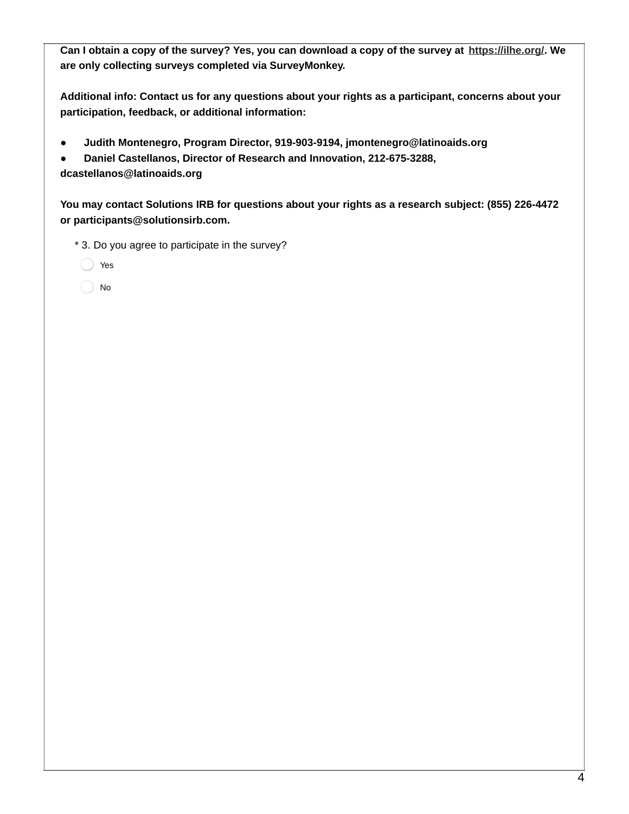Can I obtain a copy of the survey? Yes, you can download a copy of the survey at [https://ilhe.org/](https://ilhe.org/behavioral-health-services-for-latinxs-in-the-south/). We **are only collecting surveys completed via SurveyMonkey.**

**Additional info: Contact us for any questions about your rights as a participant, concerns about your participation, feedback, or additional information:**

**● Judith Montenegro, Program Director, 919-903-9194, jmontenegro@latinoaids.org**

**● Daniel Castellanos, Director of Research and Innovation, 212-675-3288, dcastellanos@latinoaids.org**

**You may contact Solutions IRB for questions about your rights as a research subject: (855) 226-4472 or participants@solutionsirb.com.**

\* 3. Do you agree to participate in the survey?

Yes

No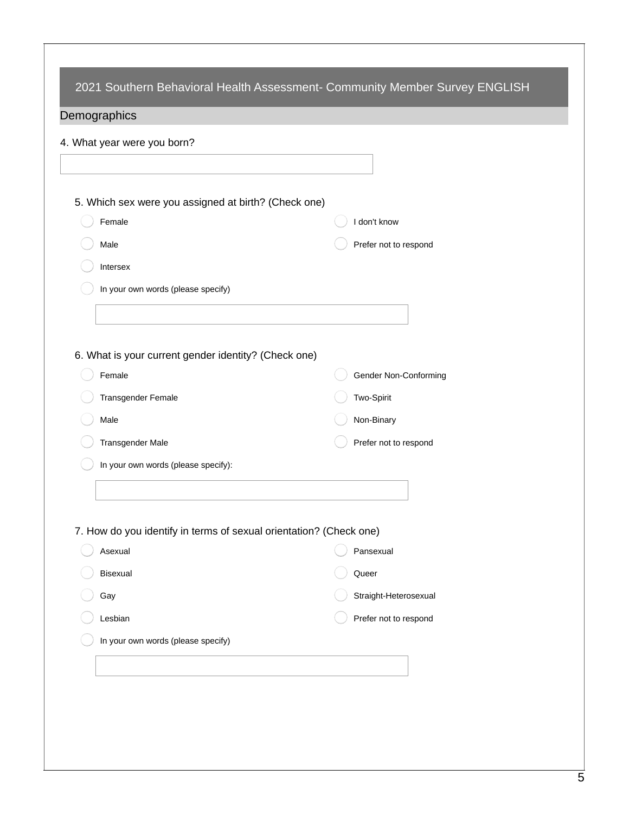| 4. What year were you born?                                        |                       |
|--------------------------------------------------------------------|-----------------------|
|                                                                    |                       |
| 5. Which sex were you assigned at birth? (Check one)               |                       |
| Female                                                             | I don't know          |
| Male                                                               | Prefer not to respond |
| Intersex                                                           |                       |
| In your own words (please specify)                                 |                       |
|                                                                    |                       |
| 6. What is your current gender identity? (Check one)               |                       |
| Female                                                             | Gender Non-Conforming |
| Transgender Female                                                 | Two-Spirit            |
| Male                                                               | Non-Binary            |
| Transgender Male                                                   | Prefer not to respond |
| In your own words (please specify):                                |                       |
|                                                                    |                       |
| 7. How do you identify in terms of sexual orientation? (Check one) |                       |
| Asexual                                                            | Pansexual             |
| Bisexual                                                           | Queer                 |
| Gay                                                                | Straight-Heterosexual |
| Lesbian                                                            | Prefer not to respond |
| In your own words (please specify)                                 |                       |
|                                                                    |                       |
|                                                                    |                       |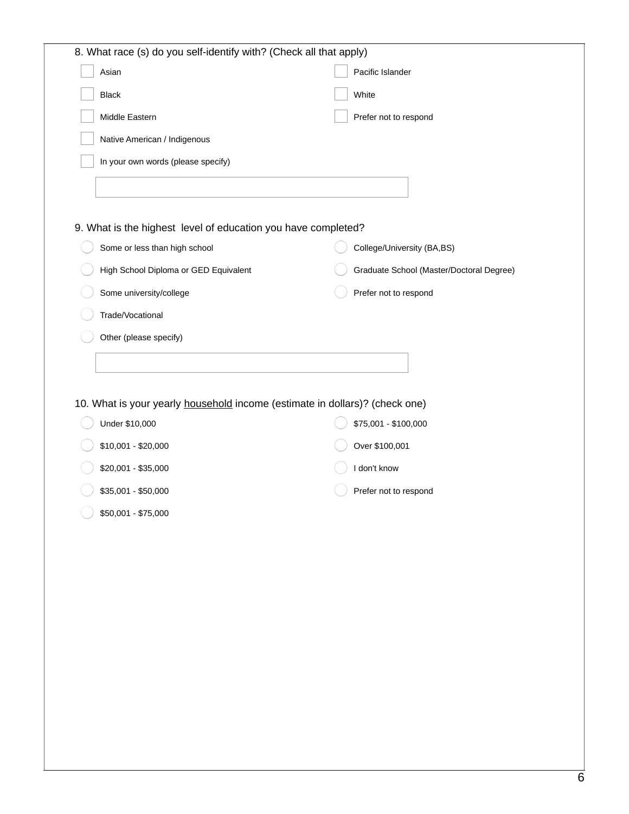| Asian                                                                       | Pacific Islander                         |
|-----------------------------------------------------------------------------|------------------------------------------|
| <b>Black</b>                                                                | White                                    |
| Middle Eastern                                                              | Prefer not to respond                    |
| Native American / Indigenous                                                |                                          |
| In your own words (please specify)                                          |                                          |
|                                                                             |                                          |
| 9. What is the highest level of education you have completed?               |                                          |
| Some or less than high school                                               | College/University (BA,BS)               |
| High School Diploma or GED Equivalent                                       | Graduate School (Master/Doctoral Degree) |
| Some university/college                                                     | Prefer not to respond                    |
| Trade/Vocational                                                            |                                          |
| Other (please specify)                                                      |                                          |
|                                                                             |                                          |
| 10. What is your yearly household income (estimate in dollars)? (check one) |                                          |
| Under \$10,000<br>$$10,001 - $20,000$                                       | \$75,001 - \$100,000<br>Over \$100,001   |
| \$20,001 - \$35,000                                                         | I don't know                             |
| \$35,001 - \$50,000                                                         | Prefer not to respond                    |
| \$50,001 - \$75,000                                                         |                                          |
|                                                                             |                                          |
|                                                                             |                                          |
|                                                                             |                                          |
|                                                                             |                                          |
|                                                                             |                                          |
|                                                                             |                                          |
|                                                                             |                                          |
|                                                                             |                                          |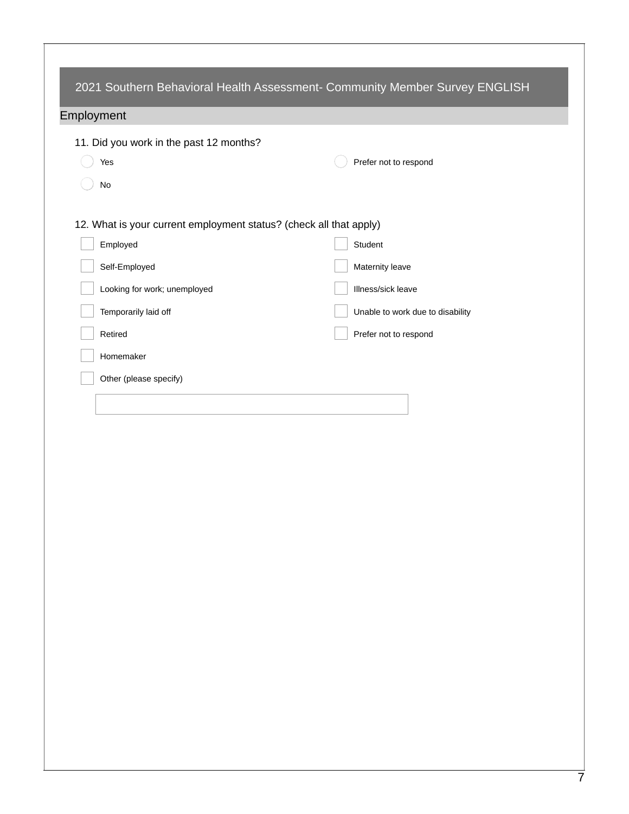|                                                                    | 2021 Southern Behavioral Health Assessment- Community Member Survey ENGLISH |
|--------------------------------------------------------------------|-----------------------------------------------------------------------------|
| Employment                                                         |                                                                             |
| 11. Did you work in the past 12 months?                            |                                                                             |
| Yes                                                                | Prefer not to respond                                                       |
| No                                                                 |                                                                             |
| 12. What is your current employment status? (check all that apply) |                                                                             |
| Employed                                                           | Student                                                                     |
| Self-Employed                                                      | Maternity leave                                                             |
| Looking for work; unemployed                                       | Illness/sick leave                                                          |
| Temporarily laid off                                               | Unable to work due to disability                                            |
| Retired                                                            | Prefer not to respond                                                       |
| Homemaker                                                          |                                                                             |
| Other (please specify)                                             |                                                                             |
|                                                                    |                                                                             |
|                                                                    |                                                                             |
|                                                                    |                                                                             |
|                                                                    |                                                                             |
|                                                                    |                                                                             |
|                                                                    |                                                                             |
|                                                                    |                                                                             |
|                                                                    |                                                                             |
|                                                                    |                                                                             |
|                                                                    |                                                                             |
|                                                                    |                                                                             |
|                                                                    |                                                                             |
|                                                                    |                                                                             |
|                                                                    |                                                                             |
|                                                                    |                                                                             |
|                                                                    |                                                                             |
|                                                                    |                                                                             |
|                                                                    |                                                                             |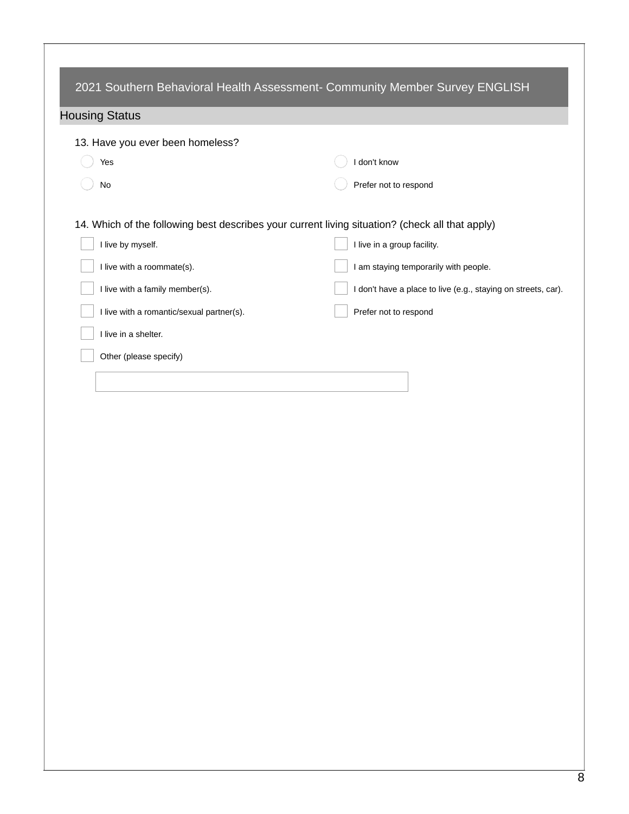|                                                                                                 | 2021 Southern Behavioral Health Assessment- Community Member Survey ENGLISH |
|-------------------------------------------------------------------------------------------------|-----------------------------------------------------------------------------|
| <b>Housing Status</b>                                                                           |                                                                             |
| 13. Have you ever been homeless?                                                                |                                                                             |
| Yes                                                                                             | I don't know                                                                |
| No                                                                                              | Prefer not to respond                                                       |
| 14. Which of the following best describes your current living situation? (check all that apply) |                                                                             |
| I live by myself.                                                                               | I live in a group facility.                                                 |
| I live with a roommate(s).                                                                      | I am staying temporarily with people.                                       |
| I live with a family member(s).                                                                 | I don't have a place to live (e.g., staying on streets, car).               |
| I live with a romantic/sexual partner(s).                                                       | Prefer not to respond                                                       |
| I live in a shelter.                                                                            |                                                                             |
| Other (please specify)                                                                          |                                                                             |
|                                                                                                 |                                                                             |
|                                                                                                 |                                                                             |
|                                                                                                 |                                                                             |
|                                                                                                 |                                                                             |
|                                                                                                 |                                                                             |
|                                                                                                 |                                                                             |
|                                                                                                 |                                                                             |
|                                                                                                 |                                                                             |
|                                                                                                 |                                                                             |
|                                                                                                 |                                                                             |
|                                                                                                 |                                                                             |
|                                                                                                 |                                                                             |
|                                                                                                 |                                                                             |
|                                                                                                 |                                                                             |
|                                                                                                 |                                                                             |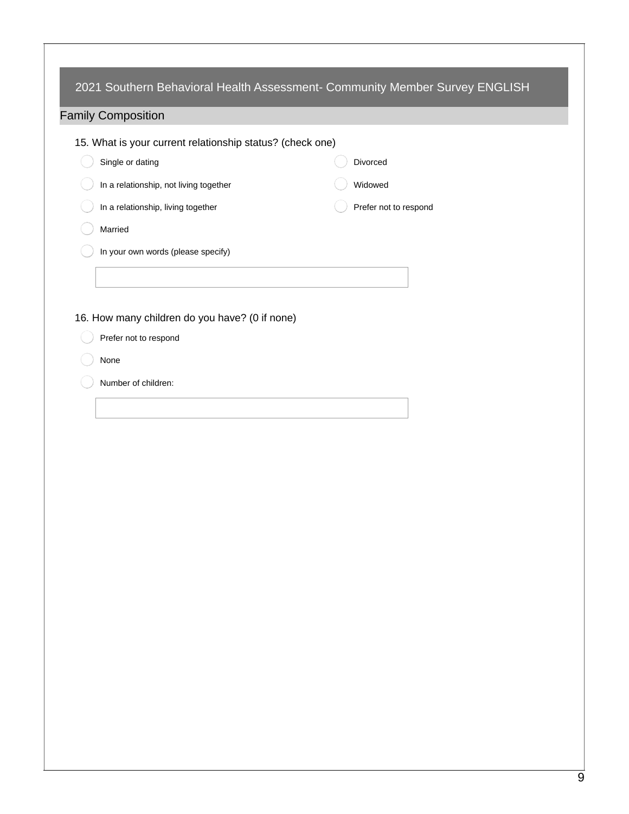| <b>Family Composition</b>                                 |                       |
|-----------------------------------------------------------|-----------------------|
| 15. What is your current relationship status? (check one) |                       |
| Single or dating                                          | Divorced              |
| In a relationship, not living together                    | Widowed               |
| In a relationship, living together                        | Prefer not to respond |
| Married                                                   |                       |
| In your own words (please specify)                        |                       |
|                                                           |                       |
|                                                           |                       |
| 16. How many children do you have? (0 if none)            |                       |
| Prefer not to respond                                     |                       |
| None                                                      |                       |
| Number of children:                                       |                       |
|                                                           |                       |
|                                                           |                       |
|                                                           |                       |
|                                                           |                       |
|                                                           |                       |
|                                                           |                       |
|                                                           |                       |
|                                                           |                       |
|                                                           |                       |
|                                                           |                       |
|                                                           |                       |
|                                                           |                       |
|                                                           |                       |
|                                                           |                       |
|                                                           |                       |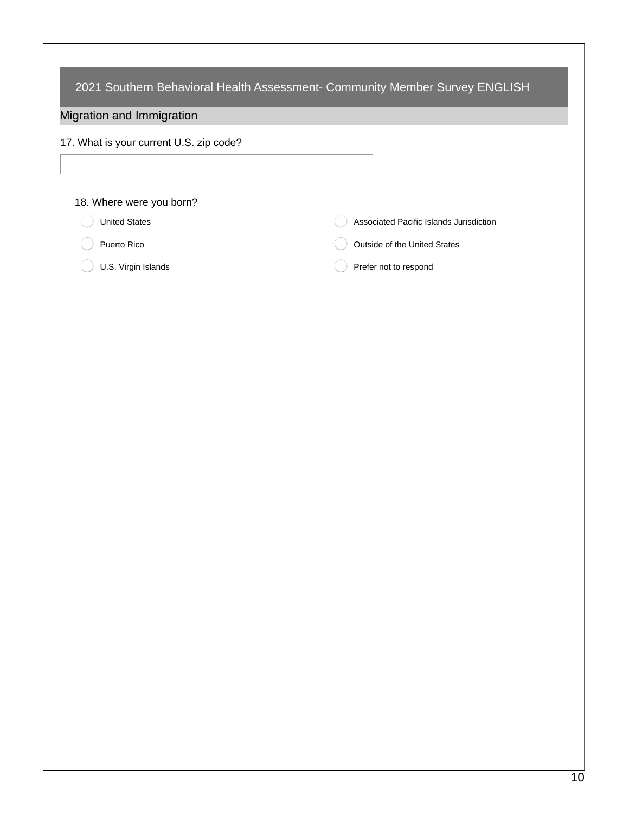| 2021 Southern Behavioral Health Assessment- Community Member Survey ENGLISH |                                         |  |  |
|-----------------------------------------------------------------------------|-----------------------------------------|--|--|
| Migration and Immigration                                                   |                                         |  |  |
| 17. What is your current U.S. zip code?                                     |                                         |  |  |
|                                                                             |                                         |  |  |
| 18. Where were you born?                                                    |                                         |  |  |
| <b>United States</b>                                                        | Associated Pacific Islands Jurisdiction |  |  |
| Puerto Rico                                                                 | Outside of the United States            |  |  |
| U.S. Virgin Islands                                                         | Prefer not to respond                   |  |  |
|                                                                             |                                         |  |  |
|                                                                             |                                         |  |  |
|                                                                             |                                         |  |  |
|                                                                             |                                         |  |  |
|                                                                             |                                         |  |  |
|                                                                             |                                         |  |  |
|                                                                             |                                         |  |  |
|                                                                             |                                         |  |  |
|                                                                             |                                         |  |  |
|                                                                             |                                         |  |  |
|                                                                             |                                         |  |  |
|                                                                             |                                         |  |  |
|                                                                             |                                         |  |  |
|                                                                             |                                         |  |  |
|                                                                             |                                         |  |  |
|                                                                             |                                         |  |  |
|                                                                             |                                         |  |  |
|                                                                             |                                         |  |  |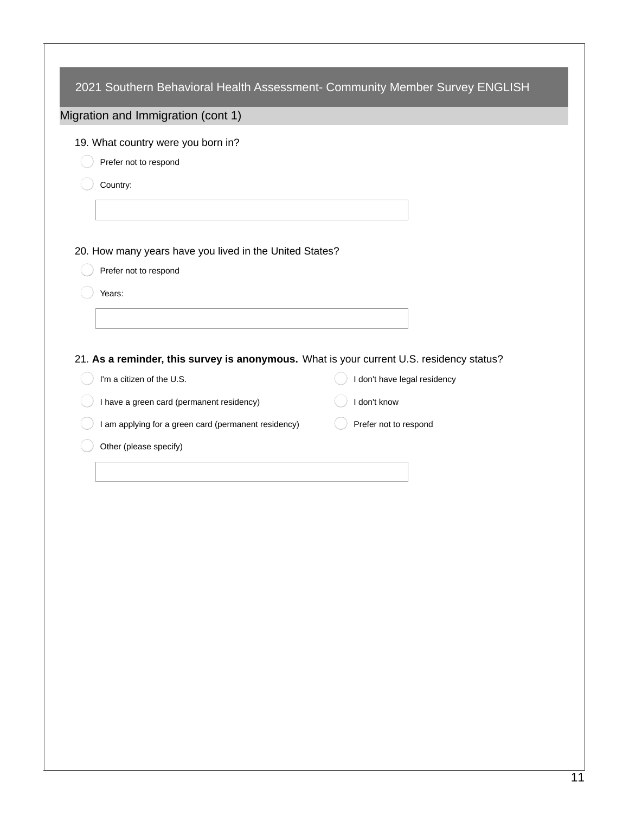| 19. What country were you born in?                                                       |                              |
|------------------------------------------------------------------------------------------|------------------------------|
| Prefer not to respond                                                                    |                              |
| Country:                                                                                 |                              |
|                                                                                          |                              |
| 20. How many years have you lived in the United States?                                  |                              |
| Prefer not to respond                                                                    |                              |
| Years:                                                                                   |                              |
|                                                                                          |                              |
|                                                                                          |                              |
| 21. As a reminder, this survey is anonymous. What is your current U.S. residency status? |                              |
| I'm a citizen of the U.S.                                                                | I don't have legal residency |
| I have a green card (permanent residency)                                                | I don't know                 |
| I am applying for a green card (permanent residency)                                     | Prefer not to respond        |
| Other (please specify)                                                                   |                              |
|                                                                                          |                              |
|                                                                                          |                              |
|                                                                                          |                              |
|                                                                                          |                              |
|                                                                                          |                              |
|                                                                                          |                              |
|                                                                                          |                              |
|                                                                                          |                              |
|                                                                                          |                              |
|                                                                                          |                              |
|                                                                                          |                              |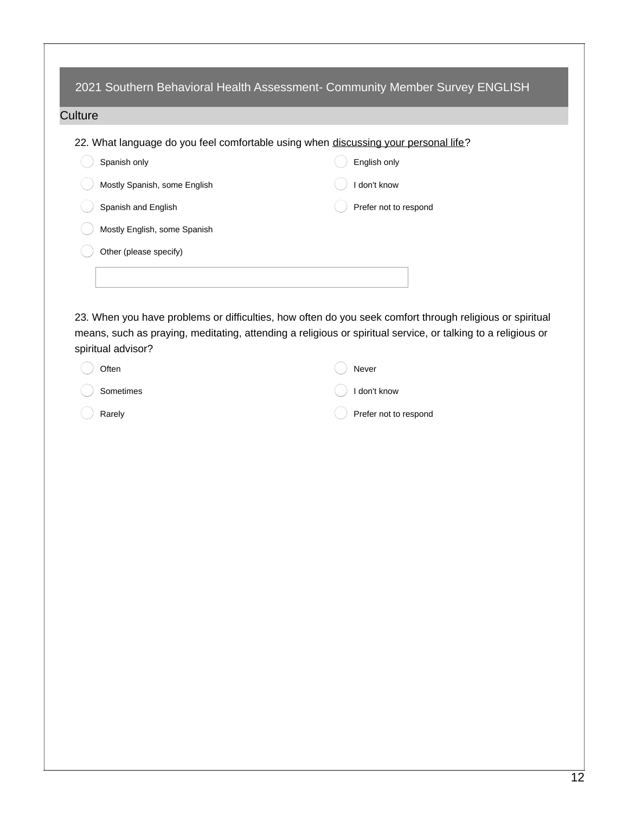|                                                                                     | 2021 Southern Behavioral Health Assessment- Community Member Survey ENGLISH |
|-------------------------------------------------------------------------------------|-----------------------------------------------------------------------------|
| Culture                                                                             |                                                                             |
| 22. What language do you feel comfortable using when discussing your personal life? |                                                                             |
| Spanish only                                                                        | English only                                                                |
| Mostly Spanish, some English                                                        | don't know                                                                  |
| Spanish and English                                                                 | Prefer not to respond                                                       |
| Mostly English, some Spanish                                                        |                                                                             |
| Other (please specify)                                                              |                                                                             |
|                                                                                     |                                                                             |
|                                                                                     |                                                                             |

23. When you have problems or difficulties, how often do you seek comfort through religious or spiritual means, such as praying, meditating, attending a religious or spiritual service, or talking to a religious or spiritual advisor?

| Often             | Never                   |
|-------------------|-------------------------|
| Sometimes         | $\bigcirc$ I don't know |
| $\bigcirc$ Rarely | Prefer not to respond   |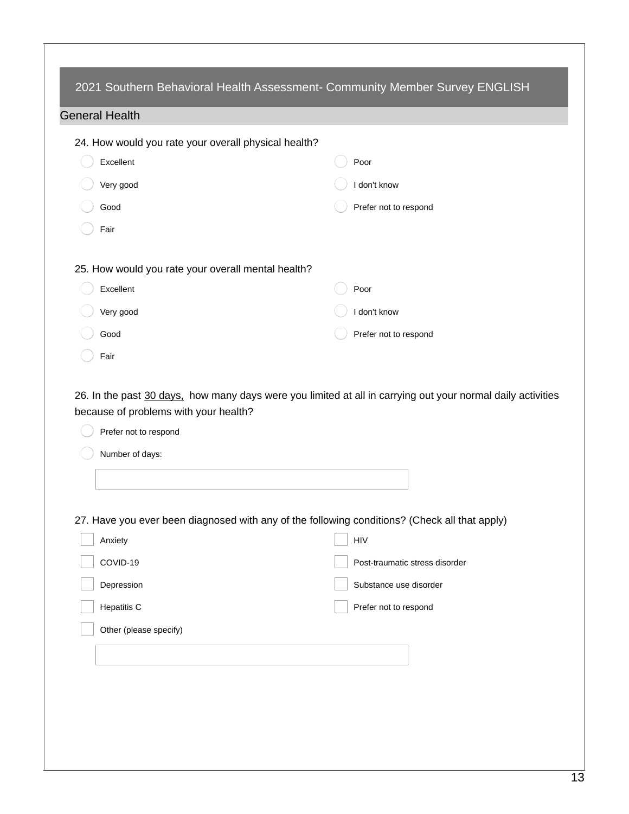| 24. How would you rate your overall physical health? |                                                                                                             |
|------------------------------------------------------|-------------------------------------------------------------------------------------------------------------|
| Excellent                                            | Poor                                                                                                        |
| Very good                                            | I don't know                                                                                                |
| Good                                                 | Prefer not to respond                                                                                       |
| Fair                                                 |                                                                                                             |
| 25. How would you rate your overall mental health?   |                                                                                                             |
| Excellent                                            | Poor                                                                                                        |
| Very good                                            | I don't know                                                                                                |
| Good                                                 | Prefer not to respond                                                                                       |
|                                                      |                                                                                                             |
| Fair<br>Prefer not to respond                        | 26. In the past 30 days, how many days were you limited at all in carrying out your normal daily activities |
| because of problems with your health?                |                                                                                                             |
| Number of days:                                      |                                                                                                             |
|                                                      |                                                                                                             |
|                                                      | 27. Have you ever been diagnosed with any of the following conditions? (Check all that apply)               |
| Anxiety                                              | HIV                                                                                                         |
| COVID-19                                             | Post-traumatic stress disorder                                                                              |
| Depression                                           | Substance use disorder                                                                                      |
| Hepatitis C                                          | Prefer not to respond                                                                                       |
| Other (please specify)                               |                                                                                                             |
|                                                      |                                                                                                             |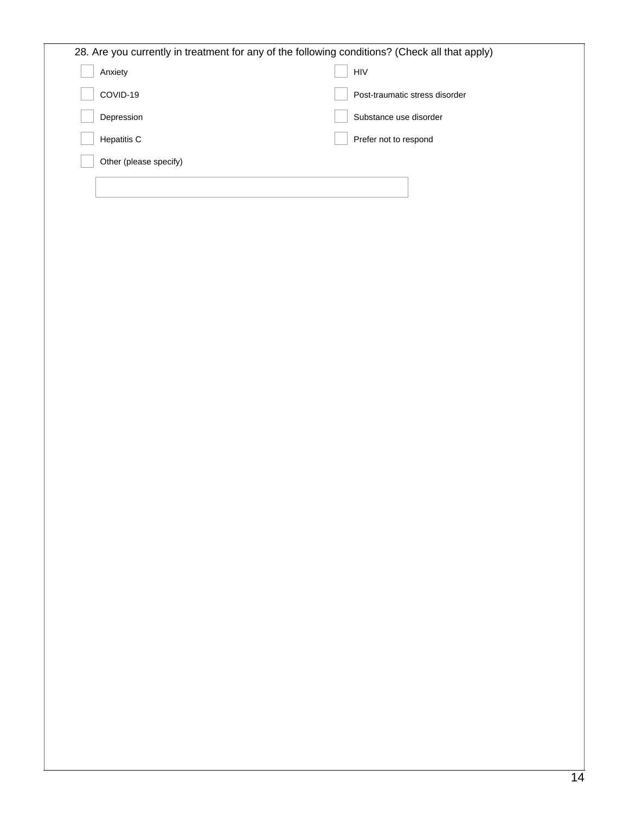| 28. Are you currently in treatment for any of the following conditions? (Check all that apply) |                                |
|------------------------------------------------------------------------------------------------|--------------------------------|
| Anxiety                                                                                        | <b>HIV</b>                     |
| COVID-19                                                                                       | Post-traumatic stress disorder |
| Depression                                                                                     | Substance use disorder         |
| <b>Hepatitis C</b>                                                                             | Prefer not to respond          |
| Other (please specify)                                                                         |                                |
|                                                                                                |                                |
|                                                                                                |                                |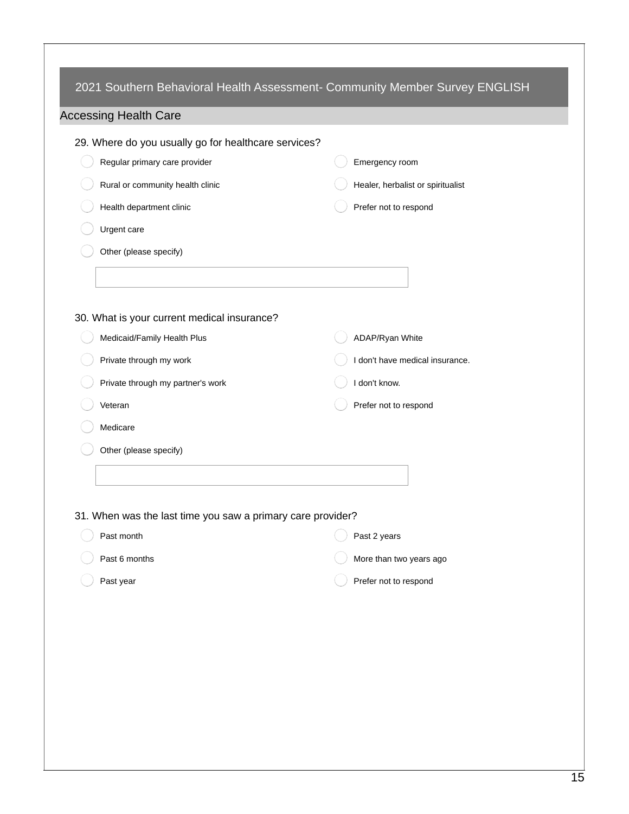| 29. Where do you usually go for healthcare services?        |                                   |
|-------------------------------------------------------------|-----------------------------------|
| Regular primary care provider                               | Emergency room                    |
| Rural or community health clinic                            | Healer, herbalist or spiritualist |
| Health department clinic                                    | Prefer not to respond             |
| Urgent care                                                 |                                   |
| Other (please specify)                                      |                                   |
|                                                             |                                   |
|                                                             |                                   |
| 30. What is your current medical insurance?                 |                                   |
| Medicaid/Family Health Plus                                 | ADAP/Ryan White                   |
| Private through my work                                     | I don't have medical insurance.   |
| Private through my partner's work                           | I don't know.                     |
| Veteran                                                     | Prefer not to respond             |
| Medicare                                                    |                                   |
| Other (please specify)                                      |                                   |
|                                                             |                                   |
|                                                             |                                   |
| 31. When was the last time you saw a primary care provider? |                                   |
| Past month                                                  | Past 2 years                      |
| Past 6 months                                               | More than two years ago           |
| Past year                                                   | Prefer not to respond             |
|                                                             |                                   |
|                                                             |                                   |
|                                                             |                                   |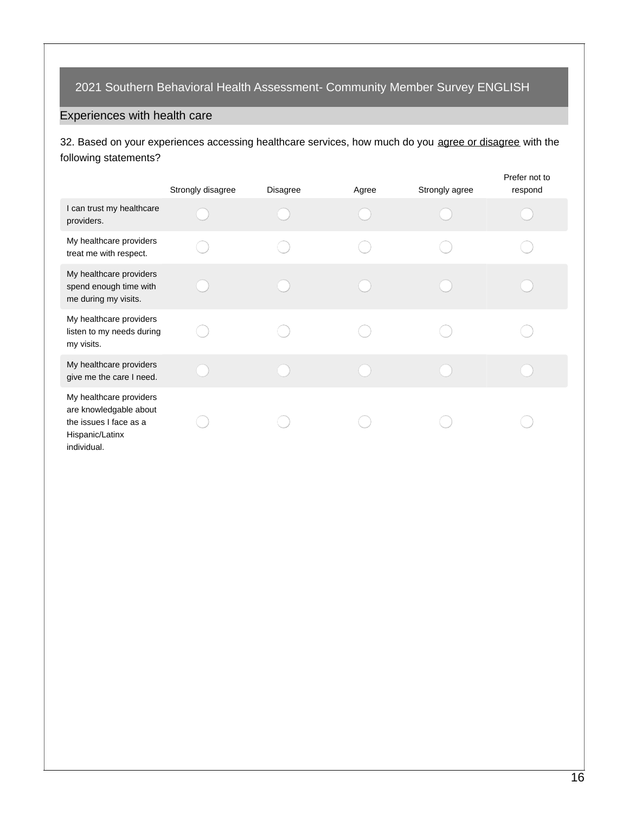## Experiences with health care

32. Based on your experiences accessing healthcare services, how much do you agree or disagree with the following statements?

|                                                                                                               | Strongly disagree | Disagree | Agree | Strongly agree | Prefer not to<br>respond |
|---------------------------------------------------------------------------------------------------------------|-------------------|----------|-------|----------------|--------------------------|
| I can trust my healthcare<br>providers.                                                                       |                   |          |       |                |                          |
| My healthcare providers<br>treat me with respect.                                                             |                   |          |       |                |                          |
| My healthcare providers<br>spend enough time with<br>me during my visits.                                     |                   |          |       |                |                          |
| My healthcare providers<br>listen to my needs during<br>my visits.                                            |                   |          |       |                |                          |
| My healthcare providers<br>give me the care I need.                                                           |                   |          |       |                |                          |
| My healthcare providers<br>are knowledgable about<br>the issues I face as a<br>Hispanic/Latinx<br>individual. |                   |          |       |                |                          |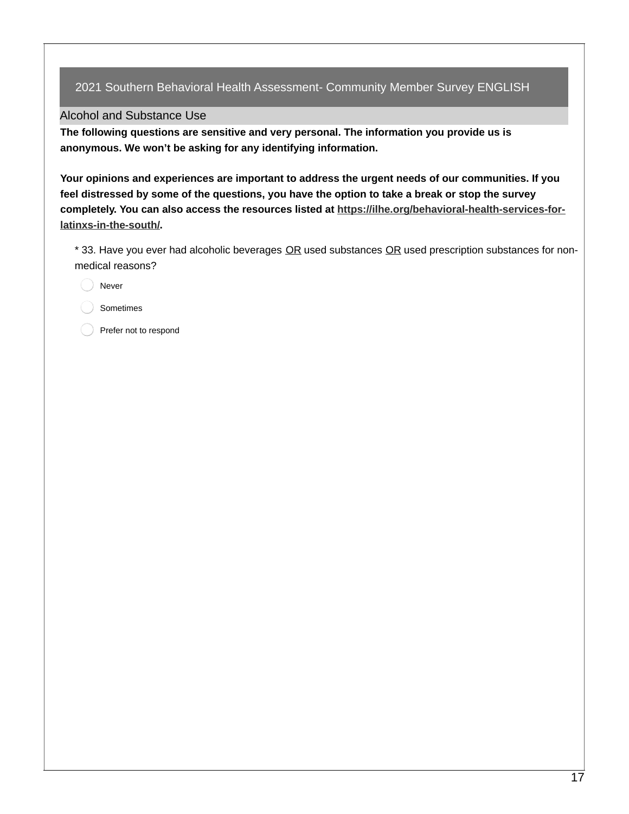Alcohol and Substance Use

**The following questions are sensitive and very personal. The information you provide us is anonymous. We won't be asking for any identifying information.**

**Your opinions and experiences are important to address the urgent needs of our communities. If you** feel distressed by some of the questions, you have the option to take a break or stop the survey **completely. You can also access the resources listed at [https://ilhe.org/behavioral-health-services-for](https://ilhe.org/behavioral-health-services-for-latinxs-in-the-south/)latinxs-in-the-south/.**

\* 33. Have you ever had alcoholic beverages OR used substances OR used prescription substances for nonmedical reasons?

Never

Sometimes

Prefer not to respond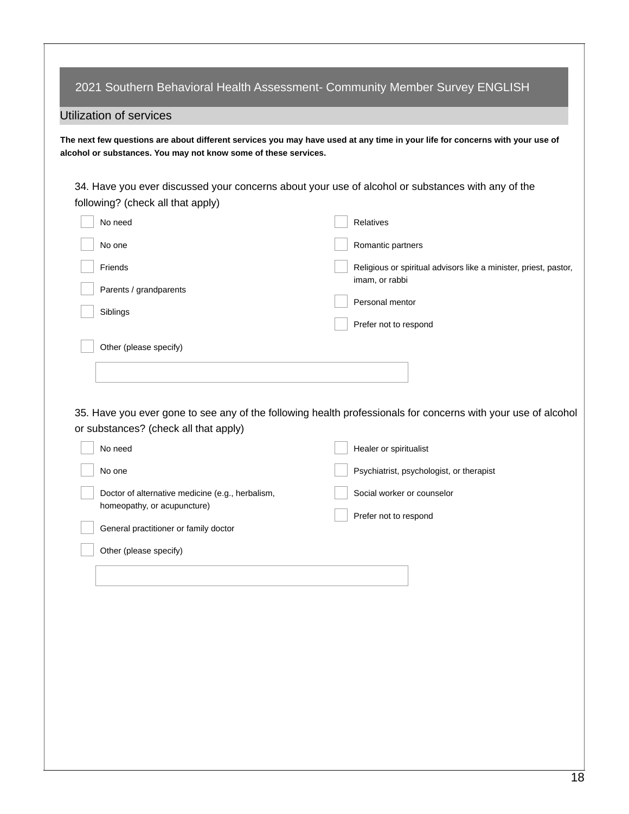| following? (check all that apply)                | 34. Have you ever discussed your concerns about your use of alcohol or substances with any of the             |
|--------------------------------------------------|---------------------------------------------------------------------------------------------------------------|
| No need                                          | Relatives                                                                                                     |
| No one                                           | Romantic partners                                                                                             |
| Friends                                          | Religious or spiritual advisors like a minister, priest, pastor,<br>imam, or rabbi                            |
| Parents / grandparents                           | Personal mentor                                                                                               |
| Siblings                                         | Prefer not to respond                                                                                         |
| Other (please specify)                           |                                                                                                               |
|                                                  |                                                                                                               |
|                                                  |                                                                                                               |
|                                                  | 35. Have you ever gone to see any of the following health professionals for concerns with your use of alcohol |
| or substances? (check all that apply)            |                                                                                                               |
| No need                                          | Healer or spiritualist                                                                                        |
| No one                                           |                                                                                                               |
|                                                  | Psychiatrist, psychologist, or therapist                                                                      |
| Doctor of alternative medicine (e.g., herbalism, | Social worker or counselor                                                                                    |
| homeopathy, or acupuncture)                      | Prefer not to respond                                                                                         |
| General practitioner or family doctor            |                                                                                                               |
| Other (please specify)                           |                                                                                                               |
|                                                  |                                                                                                               |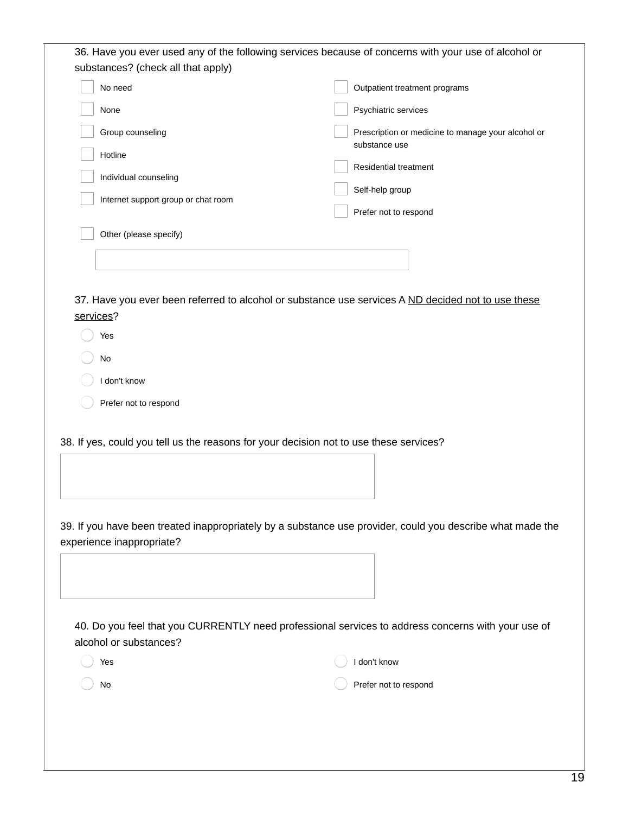| substances? (check all that apply)                                              | 36. Have you ever used any of the following services because of concerns with your use of alcohol or                                                                                                 |
|---------------------------------------------------------------------------------|------------------------------------------------------------------------------------------------------------------------------------------------------------------------------------------------------|
| No need                                                                         | Outpatient treatment programs                                                                                                                                                                        |
| None                                                                            | Psychiatric services                                                                                                                                                                                 |
| Group counseling                                                                | Prescription or medicine to manage your alcohol or                                                                                                                                                   |
| Hotline                                                                         | substance use                                                                                                                                                                                        |
| Individual counseling                                                           | Residential treatment                                                                                                                                                                                |
| Internet support group or chat room                                             | Self-help group                                                                                                                                                                                      |
|                                                                                 | Prefer not to respond                                                                                                                                                                                |
| Other (please specify)                                                          |                                                                                                                                                                                                      |
|                                                                                 |                                                                                                                                                                                                      |
| Yes<br>No<br>I don't know<br>Prefer not to respond<br>experience inappropriate? | 38. If yes, could you tell us the reasons for your decision not to use these services?<br>39. If you have been treated inappropriately by a substance use provider, could you describe what made the |
|                                                                                 |                                                                                                                                                                                                      |
| alcohol or substances?                                                          | 40. Do you feel that you CURRENTLY need professional services to address concerns with your use of                                                                                                   |
| Yes                                                                             | I don't know                                                                                                                                                                                         |
| No                                                                              | Prefer not to respond                                                                                                                                                                                |
|                                                                                 |                                                                                                                                                                                                      |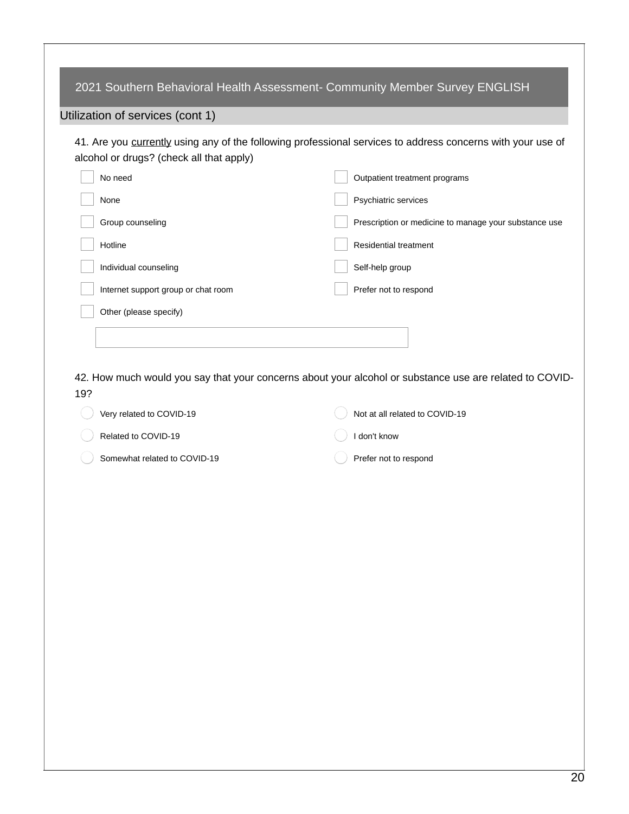|     | 2021 Southern Behavioral Health Assessment- Community Member Survey ENGLISH                                                                             |                                                       |
|-----|---------------------------------------------------------------------------------------------------------------------------------------------------------|-------------------------------------------------------|
|     | Utilization of services (cont 1)                                                                                                                        |                                                       |
|     | 41. Are you currently using any of the following professional services to address concerns with your use of<br>alcohol or drugs? (check all that apply) |                                                       |
|     | No need                                                                                                                                                 | Outpatient treatment programs                         |
|     | None                                                                                                                                                    | Psychiatric services                                  |
|     | Group counseling                                                                                                                                        | Prescription or medicine to manage your substance use |
|     | Hotline                                                                                                                                                 | Residential treatment                                 |
|     | Individual counseling                                                                                                                                   | Self-help group                                       |
|     | Internet support group or chat room                                                                                                                     | Prefer not to respond                                 |
|     | Other (please specify)                                                                                                                                  |                                                       |
|     |                                                                                                                                                         |                                                       |
|     |                                                                                                                                                         |                                                       |
|     | 42. How much would you say that your concerns about your alcohol or substance use are related to COVID-                                                 |                                                       |
| 19? |                                                                                                                                                         |                                                       |
|     | Very related to COVID-19                                                                                                                                | Not at all related to COVID-19                        |
|     | Related to COVID-19                                                                                                                                     | I don't know                                          |
|     | Somewhat related to COVID-19                                                                                                                            | Prefer not to respond                                 |
|     |                                                                                                                                                         |                                                       |
|     |                                                                                                                                                         |                                                       |
|     |                                                                                                                                                         |                                                       |
|     |                                                                                                                                                         |                                                       |
|     |                                                                                                                                                         |                                                       |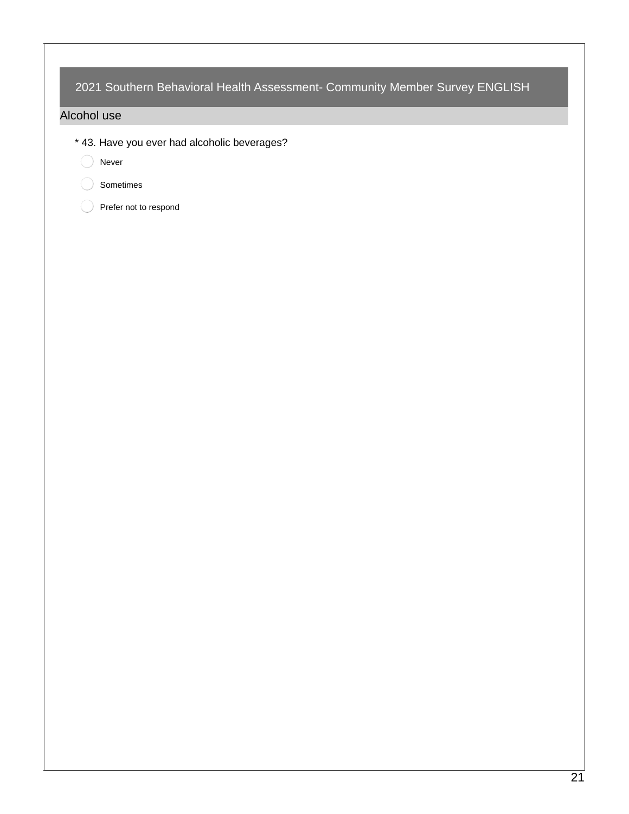### Alcohol use

- \* 43. Have you ever had alcoholic beverages?
	- O Never
		- Sometimes
		- Prefer not to respond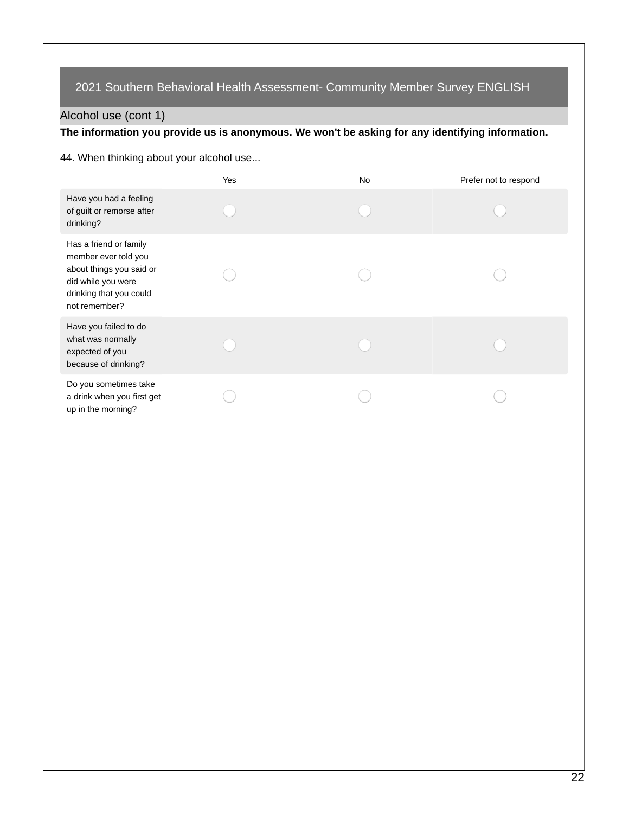# Alcohol use (cont 1)

# **The information you provide us is anonymous. We won't be asking for any identifying information.**

### 44. When thinking about your alcohol use...

|                                                                                                                                              | Yes | No | Prefer not to respond |
|----------------------------------------------------------------------------------------------------------------------------------------------|-----|----|-----------------------|
| Have you had a feeling<br>of guilt or remorse after<br>drinking?                                                                             |     |    |                       |
| Has a friend or family<br>member ever told you<br>about things you said or<br>did while you were<br>drinking that you could<br>not remember? |     |    |                       |
| Have you failed to do<br>what was normally<br>expected of you<br>because of drinking?                                                        |     |    |                       |
| Do you sometimes take<br>a drink when you first get<br>up in the morning?                                                                    |     |    |                       |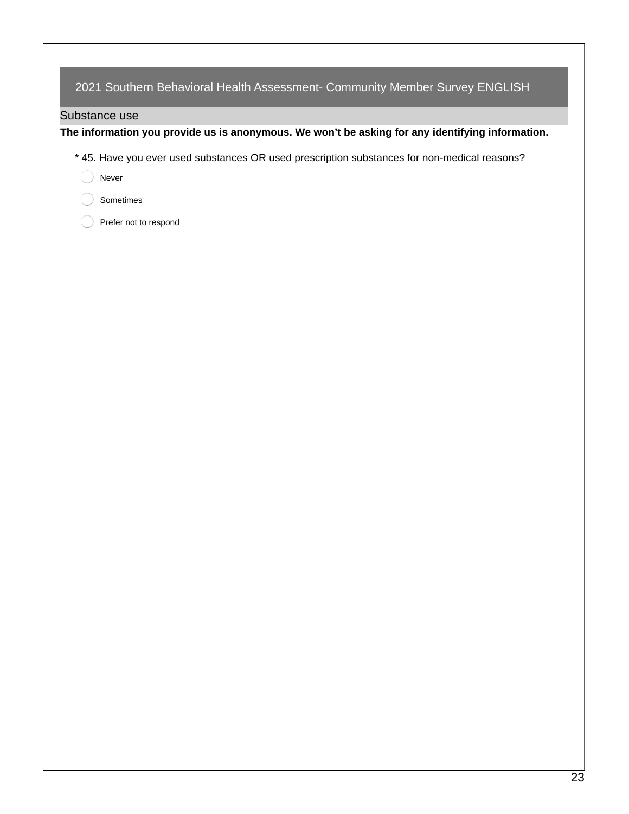### Substance use

**The information you provide us is anonymous. We won't be asking for any identifying information.**

- \* 45. Have you ever used substances OR used prescription substances for non-medical reasons?
	- Never
	- Sometimes
	- Prefer not to respond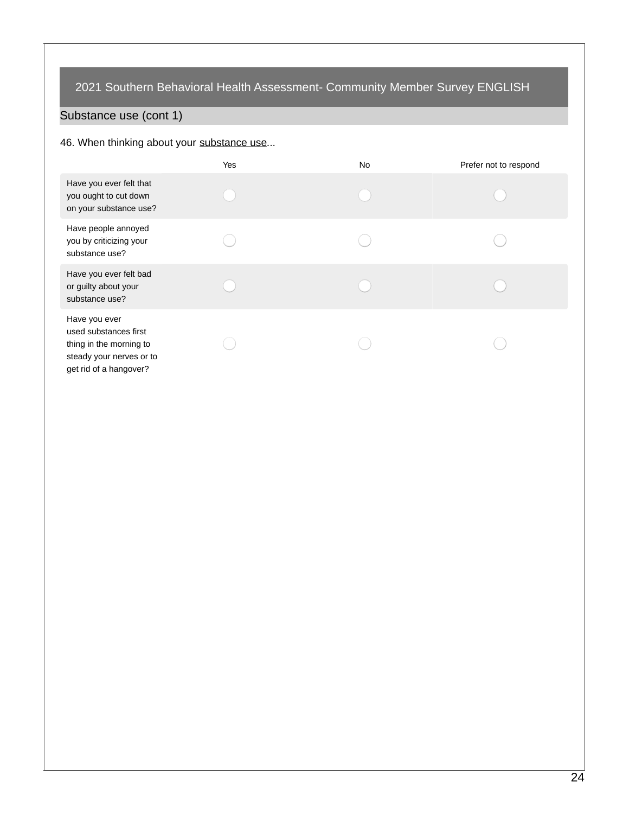# Substance use (cont 1)

### 46. When thinking about your substance use...

|                                                                                                                         | Yes | No | Prefer not to respond |
|-------------------------------------------------------------------------------------------------------------------------|-----|----|-----------------------|
| Have you ever felt that<br>you ought to cut down<br>on your substance use?                                              |     |    |                       |
| Have people annoyed<br>you by criticizing your<br>substance use?                                                        |     |    |                       |
| Have you ever felt bad<br>or guilty about your<br>substance use?                                                        |     |    |                       |
| Have you ever<br>used substances first<br>thing in the morning to<br>steady your nerves or to<br>get rid of a hangover? |     |    |                       |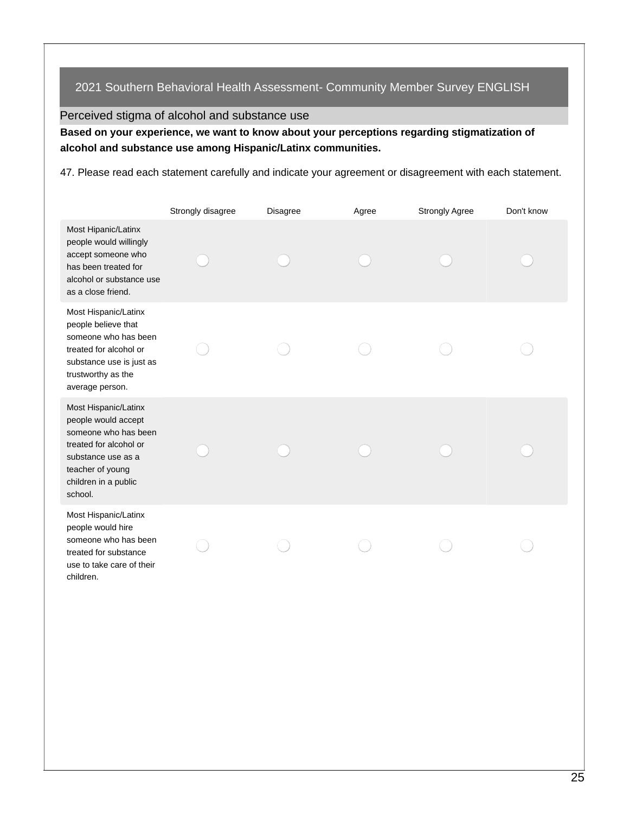Perceived stigma of alcohol and substance use

**Based on your experience, we want to know about your perceptions regarding stigmatization of alcohol and substance use among Hispanic/Latinx communities.**

47. Please read each statement carefully and indicate your agreement or disagreement with each statement.

|                                                                                                                                                                            | Strongly disagree | Disagree | Agree | <b>Strongly Agree</b> | Don't know |
|----------------------------------------------------------------------------------------------------------------------------------------------------------------------------|-------------------|----------|-------|-----------------------|------------|
| Most Hipanic/Latinx<br>people would willingly<br>accept someone who<br>has been treated for<br>alcohol or substance use<br>as a close friend.                              |                   |          |       |                       |            |
| Most Hispanic/Latinx<br>people believe that<br>someone who has been<br>treated for alcohol or<br>substance use is just as<br>trustworthy as the<br>average person.         |                   |          |       |                       |            |
| Most Hispanic/Latinx<br>people would accept<br>someone who has been<br>treated for alcohol or<br>substance use as a<br>teacher of young<br>children in a public<br>school. |                   |          |       |                       |            |
| Most Hispanic/Latinx<br>people would hire<br>someone who has been<br>treated for substance<br>use to take care of their<br>children.                                       |                   |          |       |                       |            |
|                                                                                                                                                                            |                   |          |       |                       |            |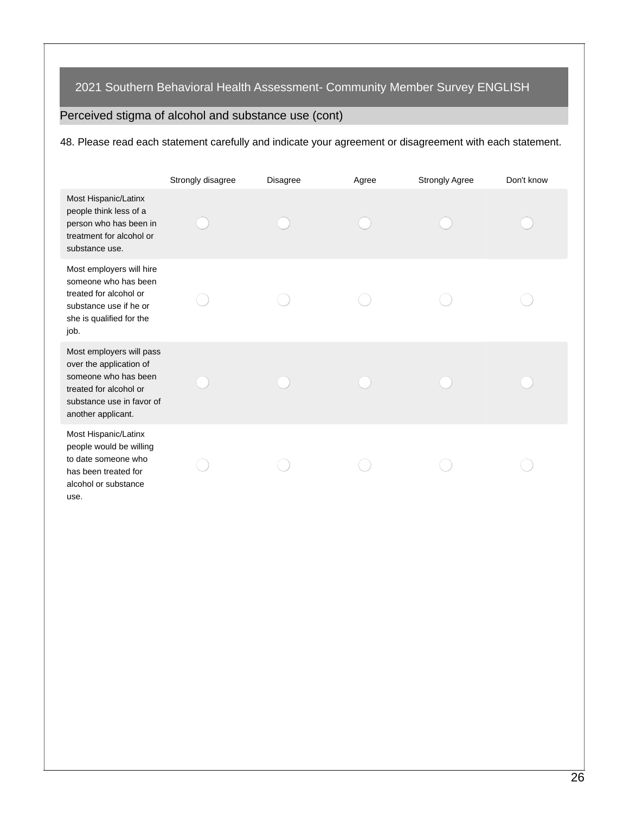# Perceived stigma of alcohol and substance use (cont)

48. Please read each statement carefully and indicate your agreement or disagreement with each statement.

|                                                                                                                                                          | Strongly disagree | Disagree | Agree | <b>Strongly Agree</b> | Don't know |
|----------------------------------------------------------------------------------------------------------------------------------------------------------|-------------------|----------|-------|-----------------------|------------|
| Most Hispanic/Latinx<br>people think less of a<br>person who has been in<br>treatment for alcohol or<br>substance use.                                   |                   |          |       |                       |            |
| Most employers will hire<br>someone who has been<br>treated for alcohol or<br>substance use if he or<br>she is qualified for the<br>job.                 |                   |          |       |                       |            |
| Most employers will pass<br>over the application of<br>someone who has been<br>treated for alcohol or<br>substance use in favor of<br>another applicant. |                   |          |       |                       |            |
| Most Hispanic/Latinx<br>people would be willing<br>to date someone who<br>has been treated for<br>alcohol or substance<br>use.                           |                   |          |       |                       |            |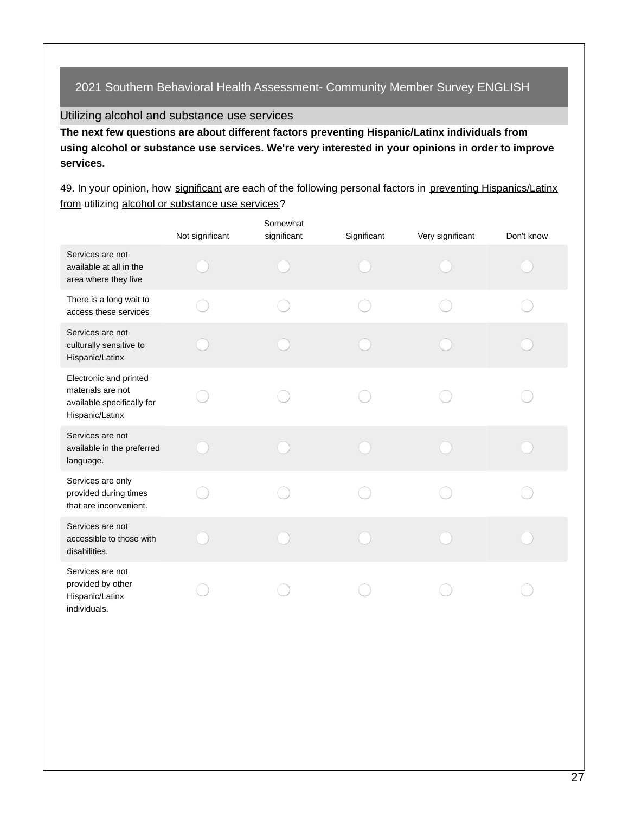Utilizing alcohol and substance use services

**The next few questions are about different factors preventing Hispanic/Latinx individuals from using alcohol or substance use services. We're very interested in your opinions in order to improve services.**

49. In your opinion, how significant are each of the following personal factors in preventing Hispanics/Latinx from utilizing alcohol or substance use services?

|                                                                                              | Not significant | Somewhat<br>significant | Significant | Very significant | Don't know |
|----------------------------------------------------------------------------------------------|-----------------|-------------------------|-------------|------------------|------------|
| Services are not<br>available at all in the<br>area where they live                          |                 |                         |             |                  |            |
| There is a long wait to<br>access these services                                             |                 |                         |             |                  |            |
| Services are not<br>culturally sensitive to<br>Hispanic/Latinx                               |                 |                         |             |                  |            |
| Electronic and printed<br>materials are not<br>available specifically for<br>Hispanic/Latinx |                 |                         |             |                  |            |
| Services are not<br>available in the preferred<br>language.                                  |                 |                         |             |                  |            |
| Services are only<br>provided during times<br>that are inconvenient.                         |                 |                         |             |                  |            |
| Services are not<br>accessible to those with<br>disabilities.                                |                 |                         |             |                  |            |
| Services are not<br>provided by other<br>Hispanic/Latinx<br>individuals.                     |                 |                         |             |                  |            |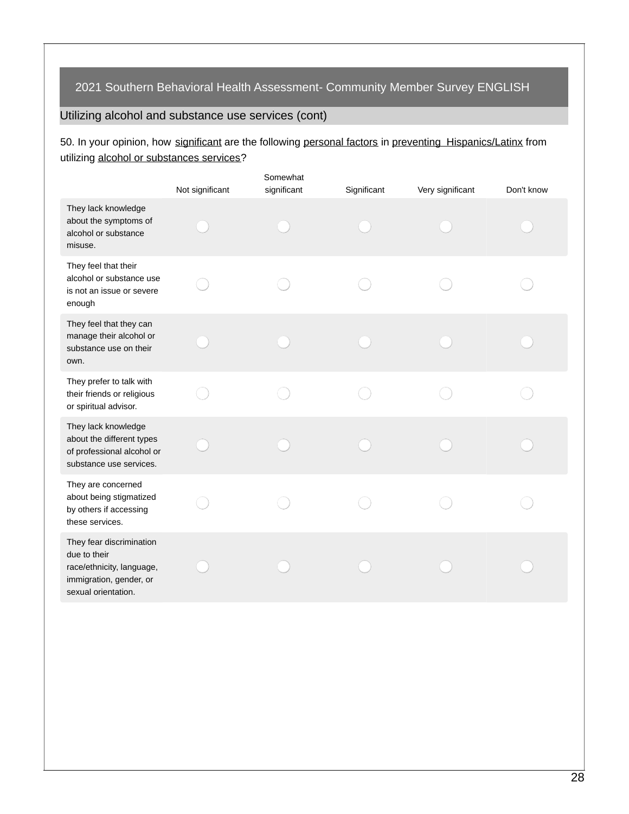# Utilizing alcohol and substance use services (cont)

50. In your opinion, how significant are the following personal factors in preventing Hispanics/Latinx from utilizing alcohol or substances services?

|                                                                                                                         | Not significant | Somewhat<br>significant | Significant | Very significant | Don't know |
|-------------------------------------------------------------------------------------------------------------------------|-----------------|-------------------------|-------------|------------------|------------|
| They lack knowledge<br>about the symptoms of<br>alcohol or substance<br>misuse.                                         |                 |                         |             |                  |            |
| They feel that their<br>alcohol or substance use<br>is not an issue or severe<br>enough                                 |                 |                         |             |                  |            |
| They feel that they can<br>manage their alcohol or<br>substance use on their<br>own.                                    |                 |                         |             |                  |            |
| They prefer to talk with<br>their friends or religious<br>or spiritual advisor.                                         |                 |                         |             |                  |            |
| They lack knowledge<br>about the different types<br>of professional alcohol or<br>substance use services.               |                 |                         |             |                  |            |
| They are concerned<br>about being stigmatized<br>by others if accessing<br>these services.                              |                 |                         |             |                  |            |
| They fear discrimination<br>due to their<br>race/ethnicity, language,<br>immigration, gender, or<br>sexual orientation. |                 |                         |             |                  |            |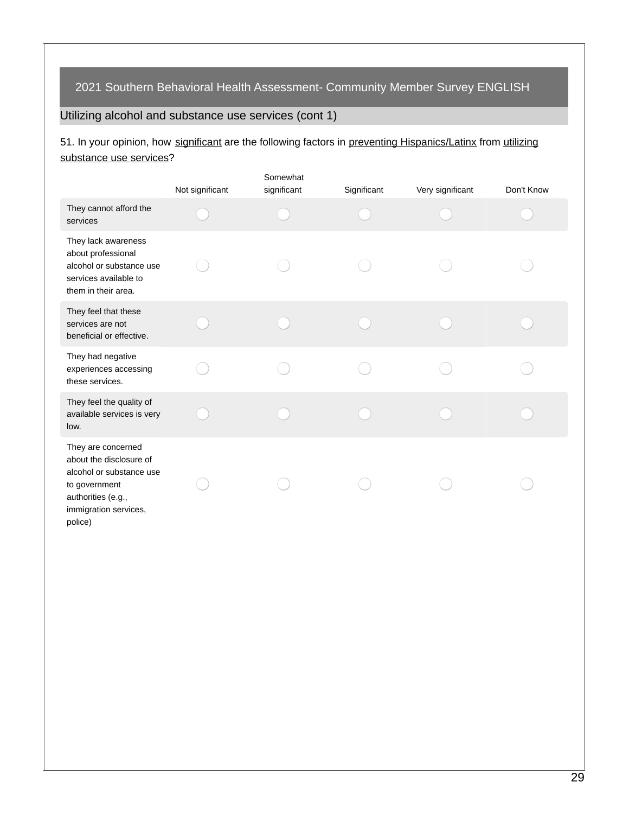# Utilizing alcohol and substance use services (cont 1)

## 51. In your opinion, how significant are the following factors in preventing Hispanics/Latinx from utilizing substance use services?

|                                                                                                                                                      | Not significant | Somewhat<br>significant | Significant | Very significant | Don't Know |
|------------------------------------------------------------------------------------------------------------------------------------------------------|-----------------|-------------------------|-------------|------------------|------------|
| They cannot afford the<br>services                                                                                                                   |                 |                         |             |                  |            |
| They lack awareness<br>about professional<br>alcohol or substance use<br>services available to<br>them in their area.                                |                 |                         |             |                  |            |
| They feel that these<br>services are not<br>beneficial or effective.                                                                                 |                 |                         |             |                  |            |
| They had negative<br>experiences accessing<br>these services.                                                                                        |                 |                         |             |                  |            |
| They feel the quality of<br>available services is very<br>low.                                                                                       |                 |                         |             |                  |            |
| They are concerned<br>about the disclosure of<br>alcohol or substance use<br>to government<br>authorities (e.g.,<br>immigration services,<br>police) |                 |                         |             |                  |            |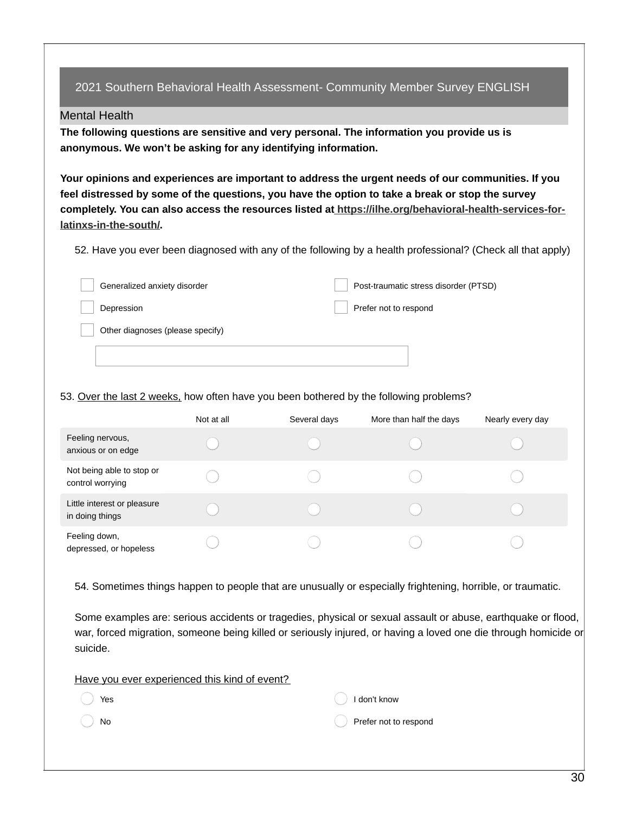#### Mental Health

**The following questions are sensitive and very personal. The information you provide us is anonymous. We won't be asking for any identifying information.**

**Your opinions and experiences are important to address the urgent needs of our communities. If you** feel distressed by some of the questions, you have the option to take a break or stop the survey **completely. You can also access the resources listed at [https://ilhe.org/behavioral-health-services-for](https://ilhe.org/behavioral-health-services-for-latinxs-in-the-south/)latinxs-in-the-south/.**

52. Have you ever been diagnosed with any of the following by a health professional? (Check all that apply)

| Generalized anxiety disorder     | Post-traumatic stress disorder (PTSD) |
|----------------------------------|---------------------------------------|
| Depression                       | Prefer not to respond                 |
| Other diagnoses (please specify) |                                       |
|                                  |                                       |

#### 53. Over the last 2 weeks, how often have you been bothered by the following problems?

|                                                | Not at all | Several days | More than half the days | Nearly every day |
|------------------------------------------------|------------|--------------|-------------------------|------------------|
| Feeling nervous,<br>anxious or on edge         |            |              |                         |                  |
| Not being able to stop or<br>control worrying  |            |              |                         |                  |
| Little interest or pleasure<br>in doing things |            |              |                         |                  |
| Feeling down,<br>depressed, or hopeless        |            |              |                         |                  |

54. Sometimes things happen to people that are unusually or especially frightening, horrible, or traumatic.

Some examples are: serious accidents or tragedies, physical or sexual assault or abuse, earthquake or flood, war, forced migration, someone being killed or seriously injured, or having a loved one die through homicide or suicide.

|  |  | Have you ever experienced this kind of event? |  |  |  |
|--|--|-----------------------------------------------|--|--|--|
|  |  |                                               |  |  |  |

| Yes | I don't know          |
|-----|-----------------------|
| )No | Prefer not to respond |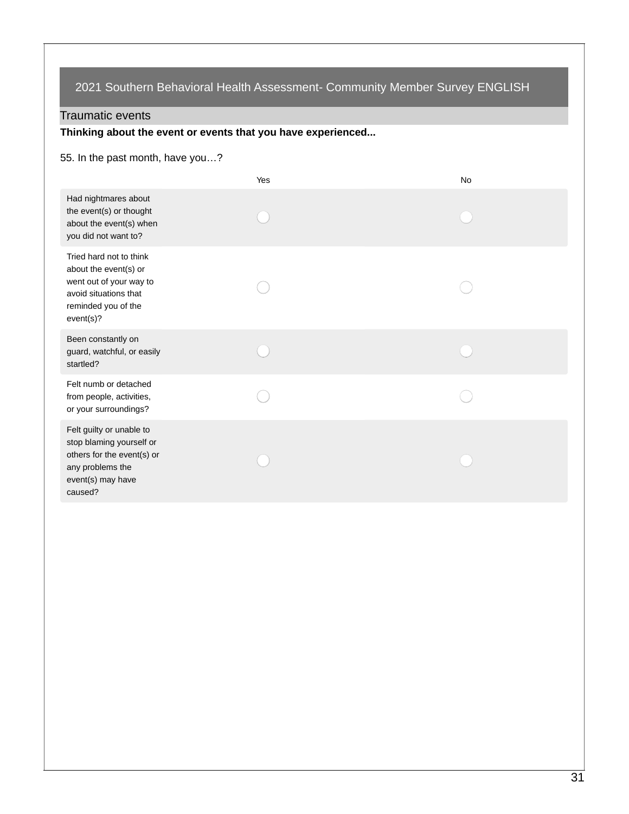### Traumatic events

**Thinking about the event or events that you have experienced...**

### 55. In the past month, have you…?

|                                                                                                                                          | Yes | <b>No</b> |
|------------------------------------------------------------------------------------------------------------------------------------------|-----|-----------|
| Had nightmares about<br>the event(s) or thought<br>about the event(s) when<br>you did not want to?                                       |     |           |
| Tried hard not to think<br>about the event(s) or<br>went out of your way to<br>avoid situations that<br>reminded you of the<br>event(s)? |     |           |
| Been constantly on<br>guard, watchful, or easily<br>startled?                                                                            |     |           |
| Felt numb or detached<br>from people, activities,<br>or your surroundings?                                                               |     |           |
| Felt guilty or unable to<br>stop blaming yourself or<br>others for the event(s) or<br>any problems the<br>event(s) may have<br>caused?   |     |           |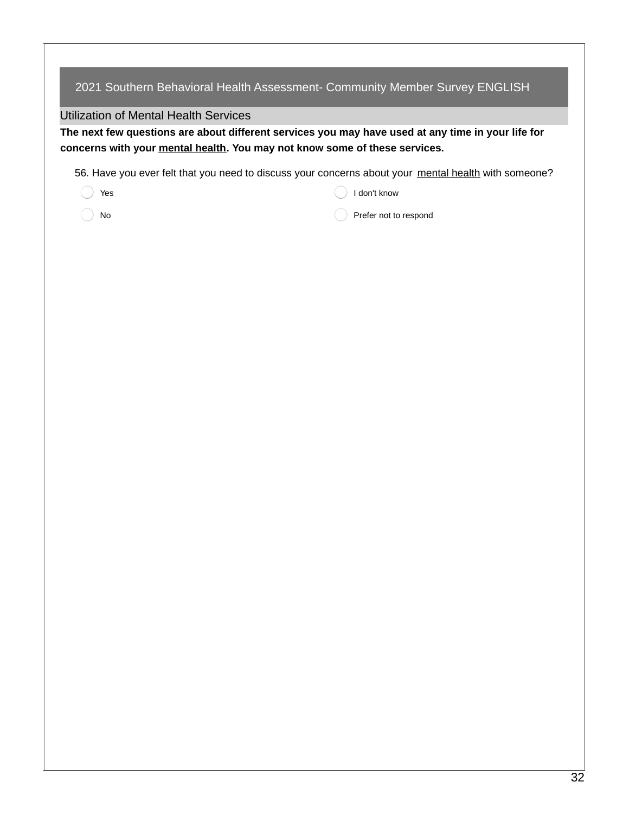### Utilization of Mental Health Services

The next few questions are about different services you may have used at any time in your life for **concerns with your mental health. You may not know some of these services.**

56. Have you ever felt that you need to discuss your concerns about your mental health with someone?

| YA<br>v<br>× |
|--------------|

I don't know

No

Prefer not to respond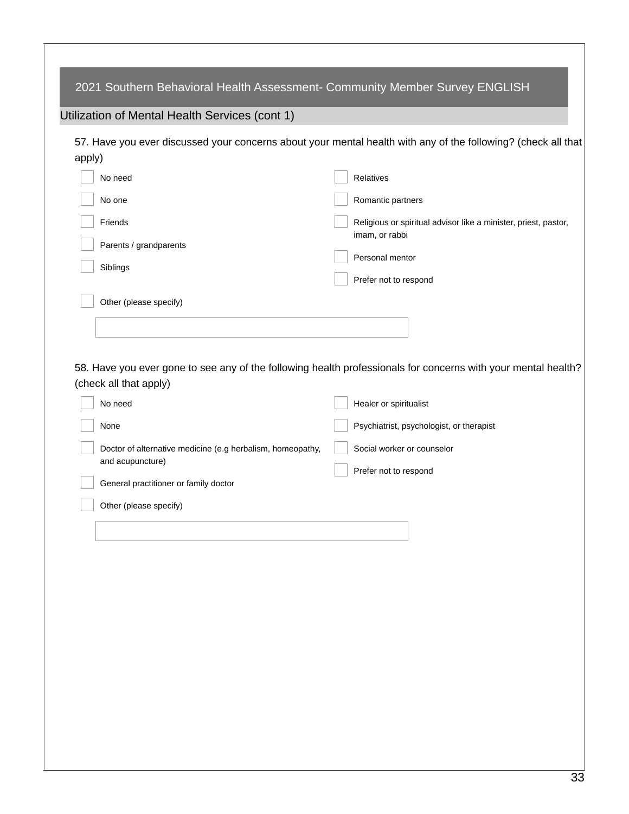| 2021 Southern Behavioral Health Assessment- Community Member Survey ENGLISH |                                                                                                               |
|-----------------------------------------------------------------------------|---------------------------------------------------------------------------------------------------------------|
| Utilization of Mental Health Services (cont 1)                              |                                                                                                               |
|                                                                             | 57. Have you ever discussed your concerns about your mental health with any of the following? (check all that |
| apply)                                                                      |                                                                                                               |
| No need                                                                     | Relatives                                                                                                     |
| No one                                                                      | Romantic partners                                                                                             |
| Friends                                                                     | Religious or spiritual advisor like a minister, priest, pastor,                                               |
| Parents / grandparents                                                      | imam, or rabbi                                                                                                |
| Siblings                                                                    | Personal mentor                                                                                               |
|                                                                             | Prefer not to respond                                                                                         |
| Other (please specify)                                                      |                                                                                                               |
|                                                                             |                                                                                                               |
|                                                                             |                                                                                                               |
| (check all that apply)                                                      | 58. Have you ever gone to see any of the following health professionals for concerns with your mental health? |
| No need                                                                     | Healer or spiritualist                                                                                        |
| None                                                                        | Psychiatrist, psychologist, or therapist                                                                      |
| Doctor of alternative medicine (e.g herbalism, homeopathy,                  | Social worker or counselor                                                                                    |
| and acupuncture)                                                            | Prefer not to respond                                                                                         |
| General practitioner or family doctor                                       |                                                                                                               |
| Other (please specify)                                                      |                                                                                                               |
|                                                                             |                                                                                                               |
|                                                                             |                                                                                                               |
|                                                                             |                                                                                                               |
|                                                                             |                                                                                                               |
|                                                                             |                                                                                                               |
|                                                                             |                                                                                                               |
|                                                                             |                                                                                                               |
|                                                                             |                                                                                                               |
|                                                                             |                                                                                                               |
|                                                                             |                                                                                                               |
|                                                                             |                                                                                                               |
|                                                                             |                                                                                                               |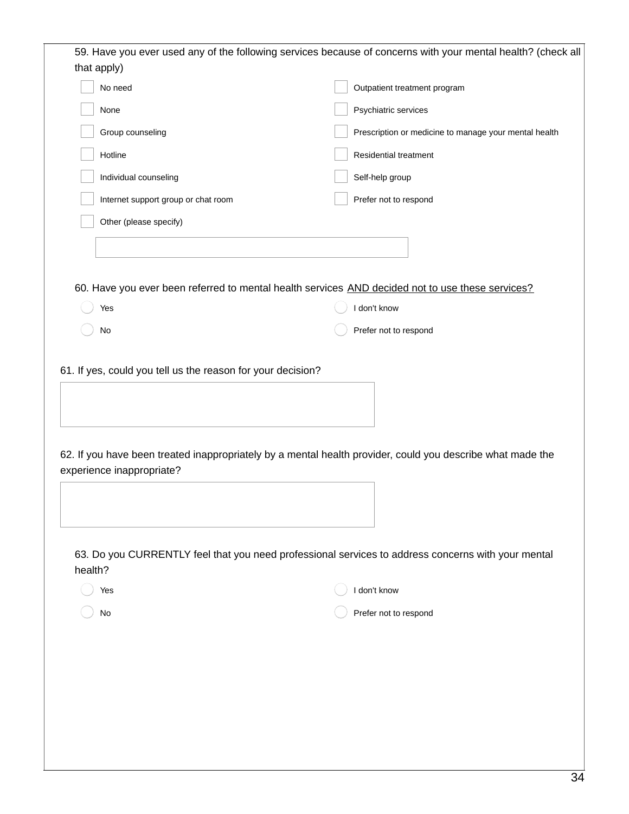|         | that apply)                                                                                                | 59. Have you ever used any of the following services because of concerns with your mental health? (check all |
|---------|------------------------------------------------------------------------------------------------------------|--------------------------------------------------------------------------------------------------------------|
|         | No need                                                                                                    | Outpatient treatment program                                                                                 |
|         | None                                                                                                       | Psychiatric services                                                                                         |
|         | Group counseling                                                                                           | Prescription or medicine to manage your mental health                                                        |
|         | Hotline                                                                                                    | Residential treatment                                                                                        |
|         | Individual counseling                                                                                      | Self-help group                                                                                              |
|         | Internet support group or chat room                                                                        | Prefer not to respond                                                                                        |
|         | Other (please specify)                                                                                     |                                                                                                              |
|         |                                                                                                            |                                                                                                              |
|         |                                                                                                            |                                                                                                              |
|         | 60. Have you ever been referred to mental health services AND decided not to use these services?           |                                                                                                              |
|         | Yes                                                                                                        | I don't know                                                                                                 |
|         | No                                                                                                         | Prefer not to respond                                                                                        |
|         |                                                                                                            |                                                                                                              |
|         | 61. If yes, could you tell us the reason for your decision?                                                |                                                                                                              |
|         |                                                                                                            |                                                                                                              |
|         |                                                                                                            |                                                                                                              |
|         |                                                                                                            |                                                                                                              |
|         | 62. If you have been treated inappropriately by a mental health provider, could you describe what made the |                                                                                                              |
|         | experience inappropriate?                                                                                  |                                                                                                              |
|         |                                                                                                            |                                                                                                              |
|         |                                                                                                            |                                                                                                              |
|         | 63. Do you CURRENTLY feel that you need professional services to address concerns with your mental         |                                                                                                              |
| health? |                                                                                                            |                                                                                                              |
|         | Yes                                                                                                        | I don't know                                                                                                 |
|         | No                                                                                                         | Prefer not to respond                                                                                        |
|         |                                                                                                            |                                                                                                              |
|         |                                                                                                            |                                                                                                              |
|         |                                                                                                            |                                                                                                              |
|         |                                                                                                            |                                                                                                              |
|         |                                                                                                            |                                                                                                              |
|         |                                                                                                            |                                                                                                              |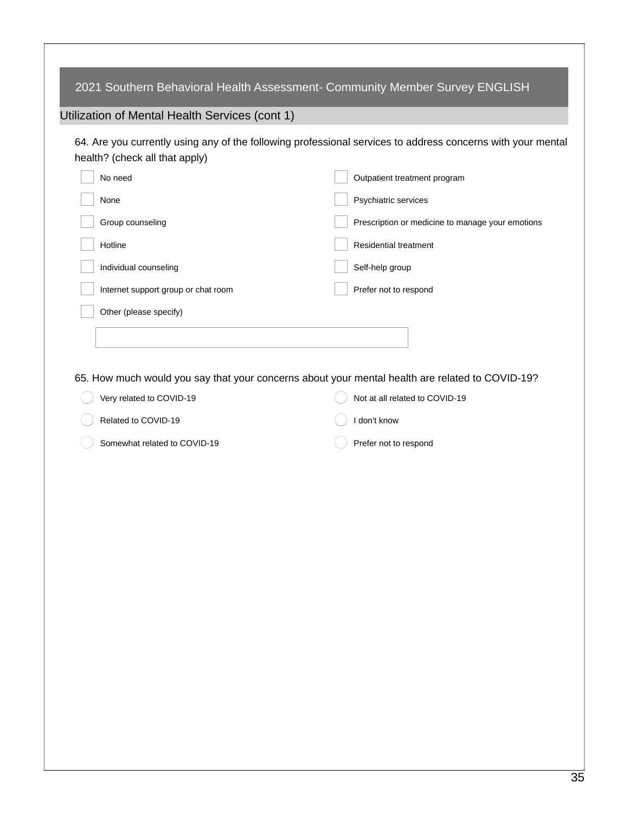| Utilization of Mental Health Services (cont 1) |                                                                                                             |
|------------------------------------------------|-------------------------------------------------------------------------------------------------------------|
| health? (check all that apply)                 | 64. Are you currently using any of the following professional services to address concerns with your mental |
| No need                                        | Outpatient treatment program                                                                                |
| None                                           | Psychiatric services                                                                                        |
| Group counseling                               | Prescription or medicine to manage your emotions                                                            |
| Hotline                                        | Residential treatment                                                                                       |
| Individual counseling                          | Self-help group                                                                                             |
| Internet support group or chat room            | Prefer not to respond                                                                                       |
| Other (please specify)                         |                                                                                                             |
|                                                |                                                                                                             |
|                                                |                                                                                                             |
|                                                | 65. How much would you say that your concerns about your mental health are related to COVID-19?             |
| Very related to COVID-19                       | Not at all related to COVID-19                                                                              |
| Related to COVID-19                            | I don't know                                                                                                |
| Somewhat related to COVID-19                   | Prefer not to respond                                                                                       |
|                                                |                                                                                                             |
|                                                |                                                                                                             |
|                                                |                                                                                                             |
|                                                |                                                                                                             |
|                                                |                                                                                                             |
|                                                |                                                                                                             |
|                                                |                                                                                                             |
|                                                |                                                                                                             |
|                                                |                                                                                                             |
|                                                |                                                                                                             |
|                                                |                                                                                                             |
|                                                |                                                                                                             |
|                                                |                                                                                                             |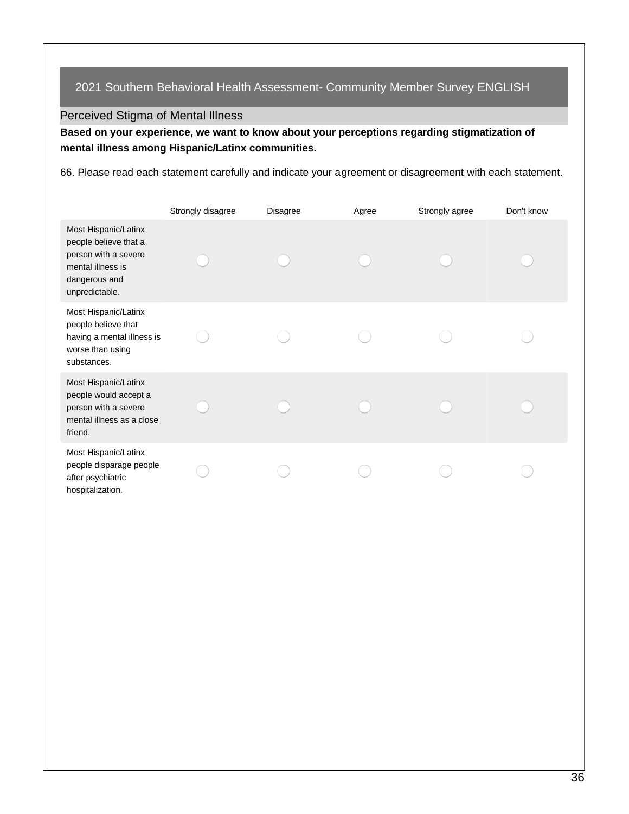## Perceived Stigma of Mental Illness

**Based on your experience, we want to know about your perceptions regarding stigmatization of mental illness among Hispanic/Latinx communities.**

66. Please read each statement carefully and indicate your agreement or disagreement with each statement.

|                                                                                                                               | Strongly disagree | <b>Disagree</b> | Agree | Strongly agree | Don't know |
|-------------------------------------------------------------------------------------------------------------------------------|-------------------|-----------------|-------|----------------|------------|
| Most Hispanic/Latinx<br>people believe that a<br>person with a severe<br>mental illness is<br>dangerous and<br>unpredictable. |                   |                 |       |                |            |
| Most Hispanic/Latinx<br>people believe that<br>having a mental illness is<br>worse than using<br>substances.                  |                   |                 |       |                |            |
| Most Hispanic/Latinx<br>people would accept a<br>person with a severe<br>mental illness as a close<br>friend.                 |                   |                 |       |                |            |
| Most Hispanic/Latinx<br>people disparage people<br>after psychiatric<br>hospitalization.                                      |                   |                 |       |                |            |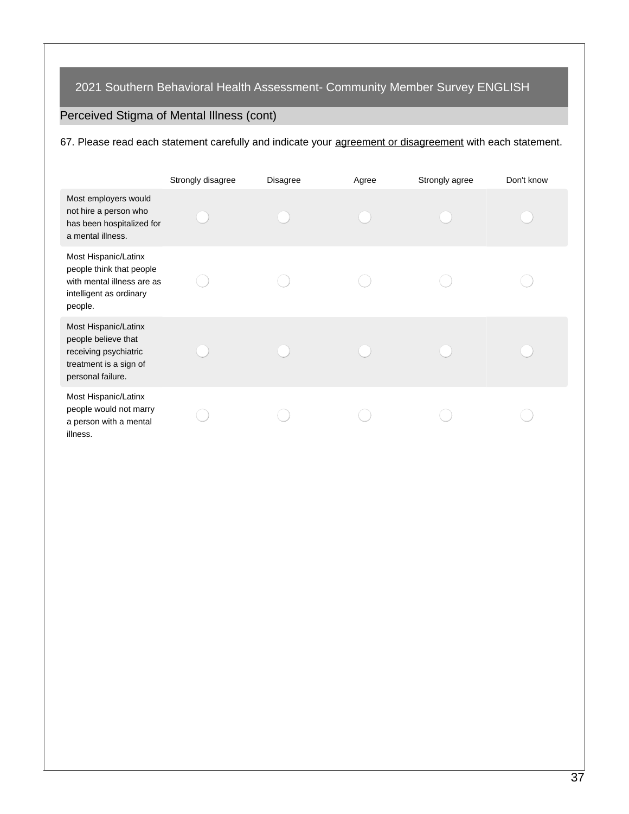# Perceived Stigma of Mental Illness (cont)

67. Please read each statement carefully and indicate your agreement or disagreement with each statement.

|                                                                                                                      | Strongly disagree | <b>Disagree</b> | Agree | Strongly agree | Don't know |
|----------------------------------------------------------------------------------------------------------------------|-------------------|-----------------|-------|----------------|------------|
| Most employers would<br>not hire a person who<br>has been hospitalized for<br>a mental illness.                      |                   |                 |       |                |            |
| Most Hispanic/Latinx<br>people think that people<br>with mental illness are as<br>intelligent as ordinary<br>people. |                   |                 |       |                |            |
| Most Hispanic/Latinx<br>people believe that<br>receiving psychiatric<br>treatment is a sign of<br>personal failure.  |                   |                 |       |                |            |
| Most Hispanic/Latinx<br>people would not marry<br>a person with a mental<br>illness.                                 |                   |                 |       |                |            |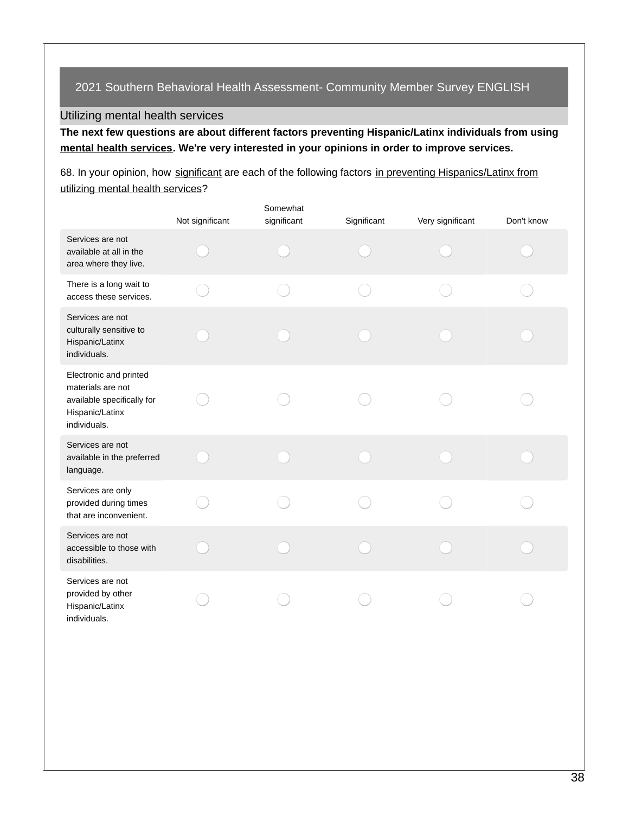### Utilizing mental health services

**The next few questions are about different factors preventing Hispanic/Latinx individuals from using mental health services. We're very interested in your opinions in order to improve services.**

68. In your opinion, how significant are each of the following factors in preventing Hispanics/Latinx from utilizing mental health services?

|                                                                                                              | Not significant | Somewhat<br>significant | Significant | Very significant | Don't know |
|--------------------------------------------------------------------------------------------------------------|-----------------|-------------------------|-------------|------------------|------------|
| Services are not<br>available at all in the<br>area where they live.                                         |                 |                         |             |                  |            |
| There is a long wait to<br>access these services.                                                            |                 |                         |             |                  |            |
| Services are not<br>culturally sensitive to<br>Hispanic/Latinx<br>individuals.                               |                 |                         |             |                  |            |
| Electronic and printed<br>materials are not<br>available specifically for<br>Hispanic/Latinx<br>individuals. |                 |                         |             |                  |            |
| Services are not<br>available in the preferred<br>language.                                                  |                 |                         |             |                  |            |
| Services are only<br>provided during times<br>that are inconvenient.                                         |                 |                         |             |                  |            |
| Services are not<br>accessible to those with<br>disabilities.                                                |                 |                         |             |                  |            |
| Services are not<br>provided by other<br>Hispanic/Latinx<br>individuals.                                     |                 |                         |             |                  |            |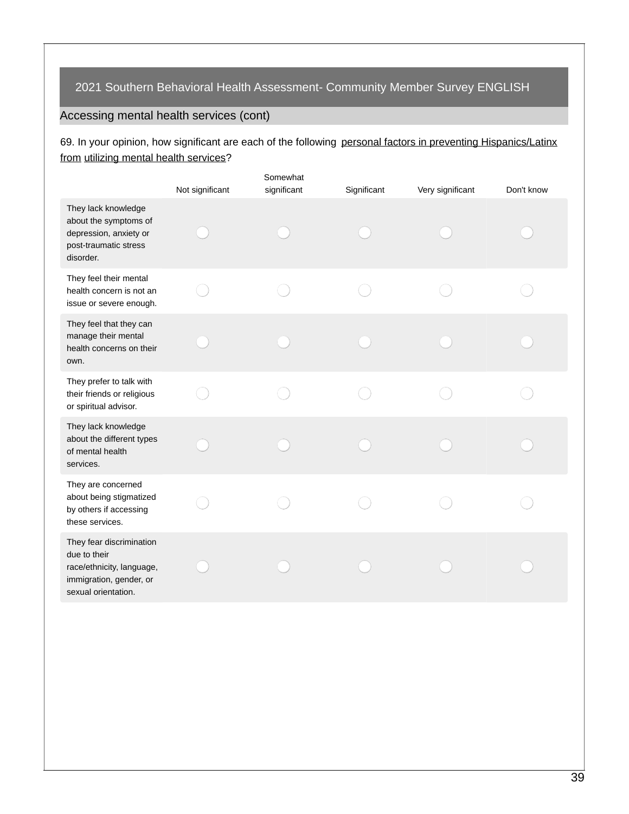# Accessing mental health services (cont)

## 69. In your opinion, how significant are each of the following personal factors in preventing Hispanics/Latinx from utilizing mental health services?

|                                                                                                                         | Not significant | Somewhat<br>significant | Significant | Very significant | Don't know |
|-------------------------------------------------------------------------------------------------------------------------|-----------------|-------------------------|-------------|------------------|------------|
| They lack knowledge<br>about the symptoms of<br>depression, anxiety or<br>post-traumatic stress<br>disorder.            |                 |                         |             |                  |            |
| They feel their mental<br>health concern is not an<br>issue or severe enough.                                           |                 |                         |             |                  |            |
| They feel that they can<br>manage their mental<br>health concerns on their<br>own.                                      |                 |                         |             |                  |            |
| They prefer to talk with<br>their friends or religious<br>or spiritual advisor.                                         |                 |                         |             |                  |            |
| They lack knowledge<br>about the different types<br>of mental health<br>services.                                       |                 |                         |             |                  |            |
| They are concerned<br>about being stigmatized<br>by others if accessing<br>these services.                              |                 |                         |             |                  |            |
| They fear discrimination<br>due to their<br>race/ethnicity, language,<br>immigration, gender, or<br>sexual orientation. |                 |                         |             |                  |            |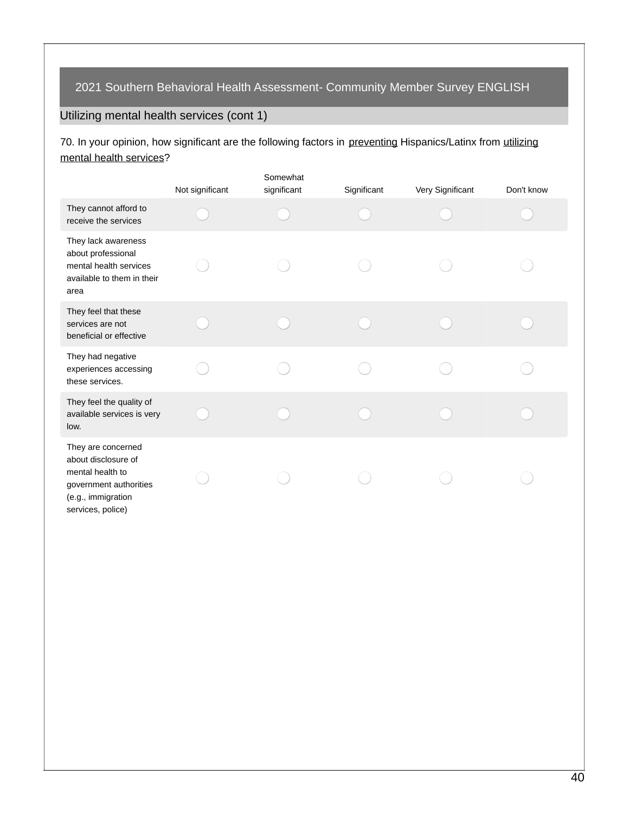# Utilizing mental health services (cont 1)

70. In your opinion, how significant are the following factors in preventing Hispanics/Latinx from utilizing mental health services?

|                                                                                                                                    | Not significant | Somewhat<br>significant | Significant | Very Significant | Don't know |
|------------------------------------------------------------------------------------------------------------------------------------|-----------------|-------------------------|-------------|------------------|------------|
| They cannot afford to<br>receive the services                                                                                      |                 |                         |             |                  |            |
| They lack awareness<br>about professional<br>mental health services<br>available to them in their<br>area                          |                 |                         |             |                  |            |
| They feel that these<br>services are not<br>beneficial or effective                                                                |                 |                         |             |                  |            |
| They had negative<br>experiences accessing<br>these services.                                                                      |                 |                         |             |                  |            |
| They feel the quality of<br>available services is very<br>low.                                                                     |                 |                         |             |                  |            |
| They are concerned<br>about disclosure of<br>mental health to<br>government authorities<br>(e.g., immigration<br>services, police) |                 |                         |             |                  |            |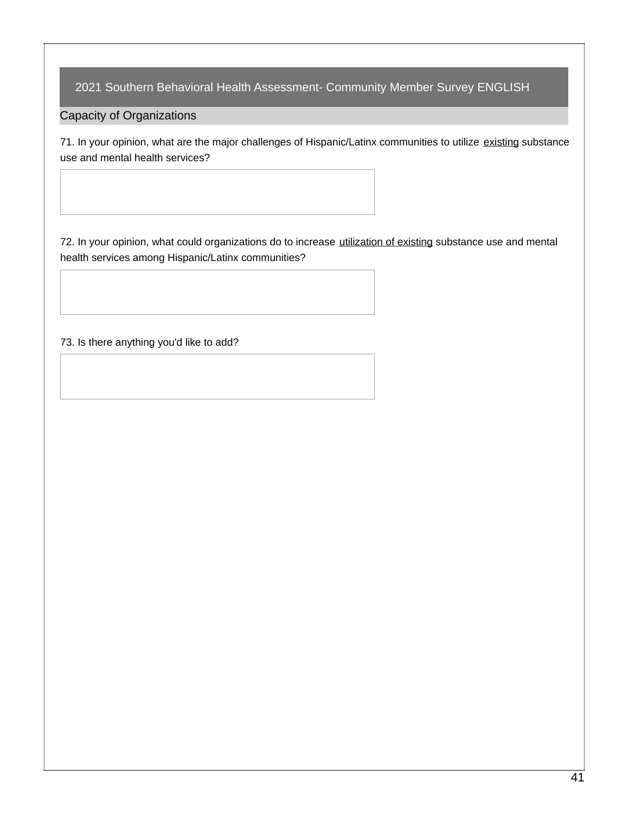Capacity of Organizations

71. In your opinion, what are the major challenges of Hispanic/Latinx communities to utilize existing substance use and mental health services?

72. In your opinion, what could organizations do to increase utilization of existing substance use and mental health services among Hispanic/Latinx communities?

73. Is there anything you'd like to add?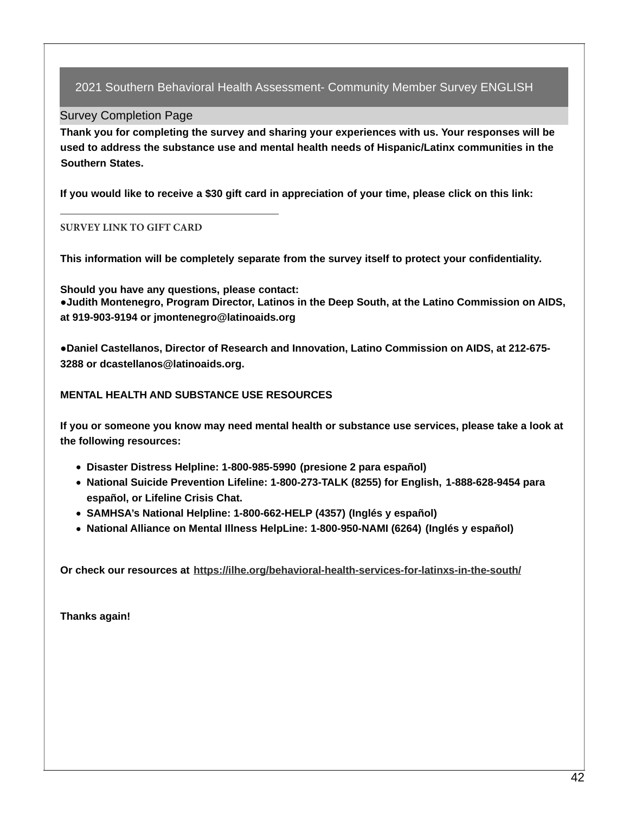### Survey Completion Page

**Thank you for completing the survey and sharing your experiences with us. Your responses will be used to address the substance use and mental health needs of Hispanic/Latinx communities in the Southern States.**

**If you would like to receive a \$30 gift card in appreciation of your time, please click on this link:** 

### **SURVEY LINK TO GIFT CARD**

**This information will be completely separate from the survey itself to protect your confidentiality.**

**Should you have any questions, please contact: ●Judith Montenegro, Program Director, Latinos in the Deep South, at the Latino Commission on AIDS, at 919-903-9194 or jmontenegro@latinoaids.org**

**●Daniel Castellanos, Director of Research and Innovation, Latino Commission on AIDS, at 212-675- 3288 or dcastellanos@latinoaids.org.**

### **MENTAL HEALTH AND SUBSTANCE USE RESOURCES**

**If you or someone you know may need mental health or substance use services, please take a look at the following resources:**

- **Disaster Distress Helpline: 1-800-985-5990 (presione 2 para español)**
- **National Suicide Prevention Lifeline: 1-800-273-TALK (8255) for English, 1-888-628-9454 para español, or Lifeline Crisis Chat.**
- **SAMHSA's National Helpline: 1-800-662-HELP (4357) (Inglés y español)**
- **National Alliance on Mental Illness HelpLine: 1-800-950-NAMI (6264) (Inglés y español)**

**Or check our resources at <https://ilhe.org/behavioral-health-services-for-latinxs-in-the-south/>**

**Thanks again!**